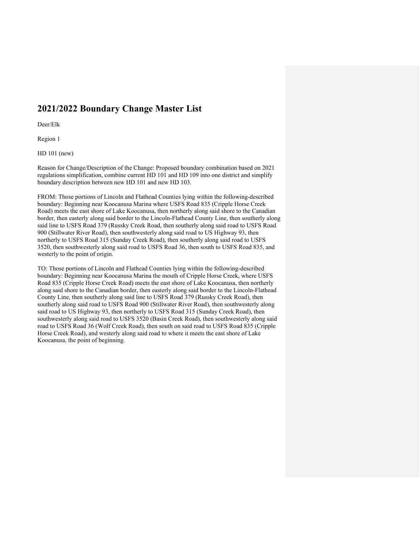# **2021/2022 Boundary Change Master List**

Deer/Elk

Region 1

HD 101 (new)

Reason for Change/Description of the Change: Proposed boundary combination based on 2021 regulations simplification, combine current HD 101 and HD 109 into one district and simplify boundary description between new HD 101 and new HD 103.

FROM: Those portions of Lincoln and Flathead Counties lying within the following-described boundary: Beginning near Koocanusa Marina where USFS Road 835 (Cripple Horse Creek Road) meets the east shore of Lake Koocanusa, then northerly along said shore to the Canadian border, then easterly along said border to the Lincoln-Flathead County Line, then southerly along said line to USFS Road 379 (Russky Creek Road, then southerly along said road to USFS Road 900 (Stillwater River Road), then southwesterly along said road to US Highway 93, then northerly to USFS Road 315 (Sunday Creek Road), then southerly along said road to USFS 3520, then southwesterly along said road to USFS Road 36, then south to USFS Road 835, and westerly to the point of origin.

TO: Those portions of Lincoln and Flathead Counties lying within the following-described boundary: Beginning near Koocanusa Marina the mouth of Cripple Horse Creek, where USFS Road 835 (Cripple Horse Creek Road) meets the east shore of Lake Koocanusa, then northerly along said shore to the Canadian border, then easterly along said border to the Lincoln-Flathead County Line, then southerly along said line to USFS Road 379 (Russky Creek Road), then southerly along said road to USFS Road 900 (Stillwater River Road), then southwesterly along said road to US Highway 93, then northerly to USFS Road 315 (Sunday Creek Road), then southwesterly along said road to USFS 3520 (Basin Creek Road), then southwesterly along said road to USFS Road 36 (Wolf Creek Road), then south on said road to USFS Road 835 (Cripple Horse Creek Road), and westerly along said road to where it meets the east shore of Lake Koocanusa, the point of beginning.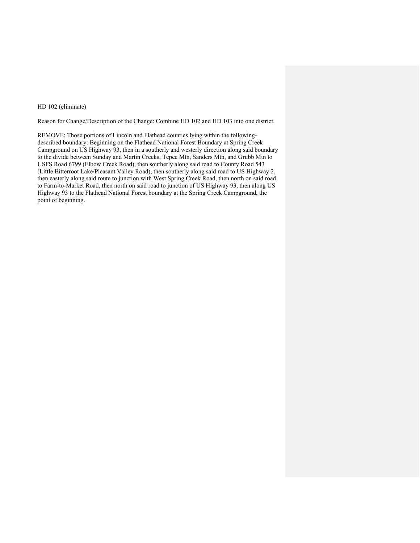### HD 102 (eliminate)

Reason for Change/Description of the Change: Combine HD 102 and HD 103 into one district.

REMOVE: Those portions of Lincoln and Flathead counties lying within the followingdescribed boundary: Beginning on the Flathead National Forest Boundary at Spring Creek Campground on US Highway 93, then in a southerly and westerly direction along said boundary to the divide between Sunday and Martin Creeks, Tepee Mtn, Sanders Mtn, and Grubb Mtn to USFS Road 6799 (Elbow Creek Road), then southerly along said road to County Road 543 (Little Bitterroot Lake/Pleasant Valley Road), then southerly along said road to US Highway 2, then easterly along said route to junction with West Spring Creek Road, then north on said road to Farm-to-Market Road, then north on said road to junction of US Highway 93, then along US Highway 93 to the Flathead National Forest boundary at the Spring Creek Campground, the point of beginning.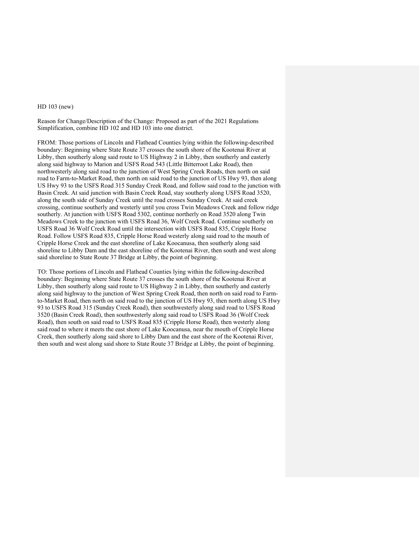### HD 103 (new)

Reason for Change/Description of the Change: Proposed as part of the 2021 Regulations Simplification, combine HD 102 and HD 103 into one district.

FROM: Those portions of Lincoln and Flathead Counties lying within the following-described boundary: Beginning where State Route 37 crosses the south shore of the Kootenai River at Libby, then southerly along said route to US Highway 2 in Libby, then southerly and easterly along said highway to Marion and USFS Road 543 (Little Bitterroot Lake Road), then northwesterly along said road to the junction of West Spring Creek Roads, then north on said road to Farm-to-Market Road, then north on said road to the junction of US Hwy 93, then along US Hwy 93 to the USFS Road 315 Sunday Creek Road, and follow said road to the junction with Basin Creek. At said junction with Basin Creek Road, stay southerly along USFS Road 3520, along the south side of Sunday Creek until the road crosses Sunday Creek. At said creek crossing, continue southerly and westerly until you cross Twin Meadows Creek and follow ridge southerly. At junction with USFS Road 5302, continue northerly on Road 3520 along Twin Meadows Creek to the junction with USFS Road 36, Wolf Creek Road. Continue southerly on USFS Road 36 Wolf Creek Road until the intersection with USFS Road 835, Cripple Horse Road. Follow USFS Road 835, Cripple Horse Road westerly along said road to the mouth of Cripple Horse Creek and the east shoreline of Lake Koocanusa, then southerly along said shoreline to Libby Dam and the east shoreline of the Kootenai River, then south and west along said shoreline to State Route 37 Bridge at Libby, the point of beginning.

TO: Those portions of Lincoln and Flathead Counties lying within the following-described boundary: Beginning where State Route 37 crosses the south shore of the Kootenai River at Libby, then southerly along said route to US Highway 2 in Libby, then southerly and easterly along said highway to the junction of West Spring Creek Road, then north on said road to Farmto-Market Road, then north on said road to the junction of US Hwy 93, then north along US Hwy 93 to USFS Road 315 (Sunday Creek Road), then southwesterly along said road to USFS Road 3520 (Basin Creek Road), then southwesterly along said road to USFS Road 36 (Wolf Creek Road), then south on said road to USFS Road 835 (Cripple Horse Road), then westerly along said road to where it meets the east shore of Lake Koocanusa, near the mouth of Cripple Horse Creek, then southerly along said shore to Libby Dam and the east shore of the Kootenai River, then south and west along said shore to State Route 37 Bridge at Libby, the point of beginning.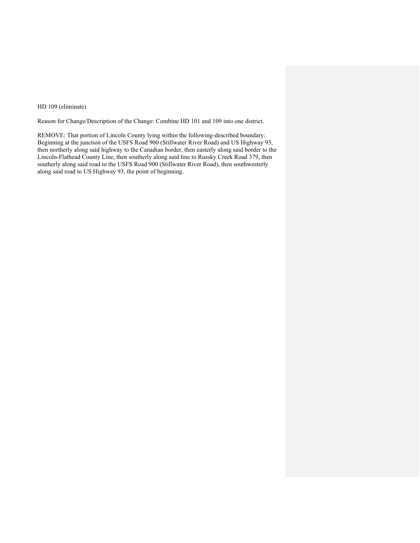# HD 109 (eliminate)

Reason for Change/Description of the Change: Combine HD 101 and 109 into one district.

REMOVE: That portion of Lincoln County lying within the following-described boundary: Beginning at the junction of the USFS Road 900 (Stillwater River Road) and US Highway 93, then northerly along said highway to the Canadian border, then easterly along said border to the Lincoln-Flathead County Line, then southerly along said line to Russky Creek Road 379, then southerly along said road to the USFS Road 900 (Stillwater River Road), then southwesterly along said road to US Highway 93, the point of beginning.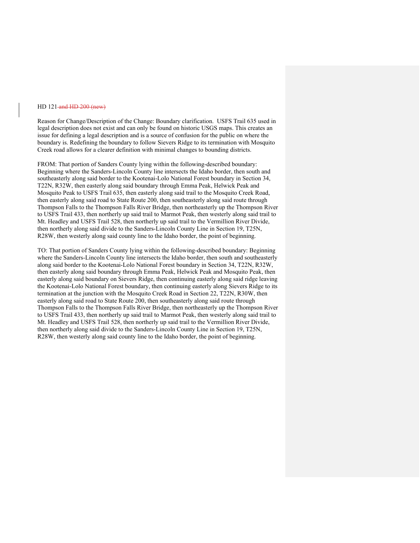#### HD 121-and HD 200 (new)

Reason for Change/Description of the Change: Boundary clarification. USFS Trail 635 used in legal description does not exist and can only be found on historic USGS maps. This creates an issue for defining a legal description and is a source of confusion for the public on where the boundary is. Redefining the boundary to follow Sievers Ridge to its termination with Mosquito Creek road allows for a clearer definition with minimal changes to bounding districts.

FROM: That portion of Sanders County lying within the following-described boundary: Beginning where the Sanders-Lincoln County line intersects the Idaho border, then south and southeasterly along said border to the Kootenai-Lolo National Forest boundary in Section 34, T22N, R32W, then easterly along said boundary through Emma Peak, Helwick Peak and Mosquito Peak to USFS Trail 635, then easterly along said trail to the Mosquito Creek Road, then easterly along said road to State Route 200, then southeasterly along said route through Thompson Falls to the Thompson Falls River Bridge, then northeasterly up the Thompson River to USFS Trail 433, then northerly up said trail to Marmot Peak, then westerly along said trail to Mt. Headley and USFS Trail 528, then northerly up said trail to the Vermillion River Divide, then northerly along said divide to the Sanders-Lincoln County Line in Section 19, T25N, R28W, then westerly along said county line to the Idaho border, the point of beginning.

TO: That portion of Sanders County lying within the following-described boundary: Beginning where the Sanders-Lincoln County line intersects the Idaho border, then south and southeasterly along said border to the Kootenai-Lolo National Forest boundary in Section 34, T22N, R32W, then easterly along said boundary through Emma Peak, Helwick Peak and Mosquito Peak, then easterly along said boundary on Sievers Ridge, then continuing easterly along said ridge leaving the Kootenai-Lolo National Forest boundary, then continuing easterly along Sievers Ridge to its termination at the junction with the Mosquito Creek Road in Section 22, T22N, R30W, then easterly along said road to State Route 200, then southeasterly along said route through Thompson Falls to the Thompson Falls River Bridge, then northeasterly up the Thompson River to USFS Trail 433, then northerly up said trail to Marmot Peak, then westerly along said trail to Mt. Headley and USFS Trail 528, then northerly up said trail to the Vermillion River Divide, then northerly along said divide to the Sanders-Lincoln County Line in Section 19, T25N, R28W, then westerly along said county line to the Idaho border, the point of beginning.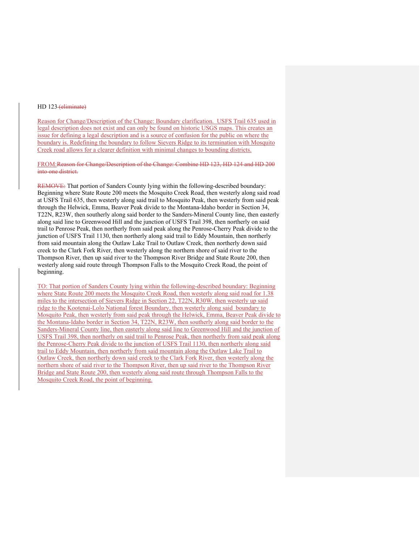#### HD 123 (eliminate)

Reason for Change/Description of the Change: Boundary clarification. USFS Trail 635 used in legal description does not exist and can only be found on historic USGS maps. This creates an issue for defining a legal description and is a source of confusion for the public on where the boundary is. Redefining the boundary to follow Sievers Ridge to its termination with Mosquito Creek road allows for a clearer definition with minimal changes to bounding districts.

FROM:Reason for Change/Description of the Change: Combine HD 123, HD 124 and HD 200 into one district.

REMOVE: That portion of Sanders County lying within the following-described boundary: Beginning where State Route 200 meets the Mosquito Creek Road, then westerly along said road at USFS Trail 635, then westerly along said trail to Mosquito Peak, then westerly from said peak through the Helwick, Emma, Beaver Peak divide to the Montana-Idaho border in Section 34, T22N, R23W, then southerly along said border to the Sanders-Mineral County line, then easterly along said line to Greenwood Hill and the junction of USFS Trail 398, then northerly on said trail to Penrose Peak, then northerly from said peak along the Penrose-Cherry Peak divide to the junction of USFS Trail 1130, then northerly along said trail to Eddy Mountain, then northerly from said mountain along the Outlaw Lake Trail to Outlaw Creek, then northerly down said creek to the Clark Fork River, then westerly along the northern shore of said river to the Thompson River, then up said river to the Thompson River Bridge and State Route 200, then westerly along said route through Thompson Falls to the Mosquito Creek Road, the point of beginning.

TO: That portion of Sanders County lying within the following-described boundary: Beginning where State Route 200 meets the Mosquito Creek Road, then westerly along said road for 1.38 miles to the intersection of Sievers Ridge in Section 22, T22N, R30W, then westerly up said ridge to the Kootenai-Lolo National forest Boundary, then westerly along said boundary to Mosquito Peak, then westerly from said peak through the Helwick, Emma, Beaver Peak divide to the Montana-Idaho border in Section 34, T22N, R23W, then southerly along said border to the Sanders-Mineral County line, then easterly along said line to Greenwood Hill and the junction of USFS Trail 398, then northerly on said trail to Penrose Peak, then northerly from said peak along the Penrose-Cherry Peak divide to the junction of USFS Trail 1130, then northerly along said trail to Eddy Mountain, then northerly from said mountain along the Outlaw Lake Trail to Outlaw Creek, then northerly down said creek to the Clark Fork River, then westerly along the northern shore of said river to the Thompson River, then up said river to the Thompson River Bridge and State Route 200, then westerly along said route through Thompson Falls to the Mosquito Creek Road, the point of beginning.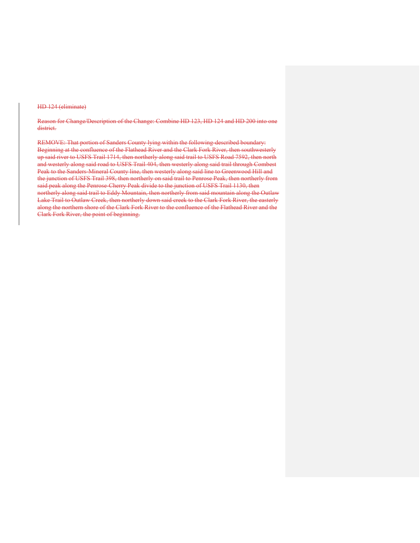#### HD 124 (eliminate)

Reason for Change/Description of the Change: Combine HD 123, HD 124 and HD 200 into one district.

REMOVE: That portion of Sanders County lying within the following-described boundary: Beginning at the confluence of the Flathead River and the Clark Fork River, then southwesterly up said river to USFS Trail 1714, then northerly along said trail to USFS Road 7592, then north and westerly along said road to USFS Trail 404, then westerly along said trail through Combest Peak to the Sanders-Mineral County line, then westerly along said line to Greenwood Hill and the junction of USFS Trail 398, then northerly on said trail to Penrose Peak, then northerly from said peak along the Penrose-Cherry Peak divide to the junction of USFS Trail 1130, then northerly along said trail to Eddy Mountain, then northerly from said mountain along the Outlaw Lake Trail to Outlaw Creek, then northerly down said creek to the Clark Fork River, the easterly along the northern shore of the Clark Fork River to the confluence of the Flathead River and the Clark Fork River, the point of beginning.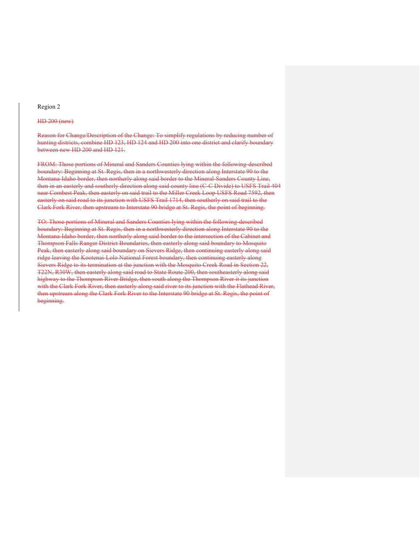#### Region 2

#### HD 200 (new)

Reason for Change/Description of the Change: To simplify regulations by reducing number of hunting districts, combine HD 123, HD 124 and HD 200 into one district and clarify boundary between new HD 200 and HD 121.

FROM: Those portions of Mineral and Sanders Counties lying within the following-described boundary: Beginning at St. Regis, then in a northwesterly direction along Interstate 90 to the Montana-Idaho border, then northerly along said border to the Mineral-Sanders County Line, then in an easterly and southerly direction along said county line (C-C Divide) to USFS Trail 404 near Combest Peak, then easterly on said trail to the Miller Creek Loop USFS Road 7592, then easterly on said road to its junction with USFS Trail 1714, then southerly on said trail to the Clark Fork River, then upstream to Interstate 90 bridge at St. Regis, the point of beginning.

TO: Those portions of Mineral and Sanders Counties lying within the following-described boundary: Beginning at St. Regis, then in a northwesterly direction along Interstate 90 to the Montana-Idaho border, then northerly along said border to the intersection of the Cabinet and Thompson Falls Ranger District Boundaries, then easterly along said boundary to Mosquito Peak, then easterly along said boundary on Sievers Ridge, then continuing easterly along said ridge leaving the Kootenai-Lolo National Forest boundary, then continuing easterly along Sievers Ridge to its termination at the junction with the Mosquito Creek Road in Section 22, T22N, R30W, then easterly along said road to State Route 200, then southeasterly along said highway to the Thompson River Bridge, then south along the Thompson River it its junction with the Clark Fork River, then easterly along said river to its junction with the Flathead River, then upstream along the Clark Fork River to the Interstate 90 bridge at St. Regis, the point of beginning.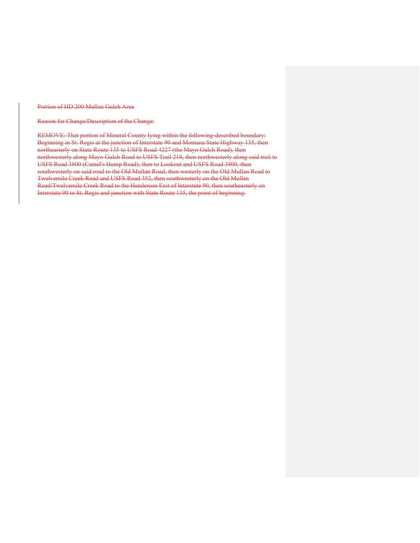Portion of HD 200 Mullan Gulch Area

Reason for Change/Description of the Change:

REMOVE: That portion of Mineral County lying within the following-described boundary: Beginning in St. Regis at the junction of Interstate 90 and Montana State Highway 135, then northeasterly on State Route 135 to USFS Road 4227 (the Mayo Gulch Road), then northwesterly along Mayo Gulch Road to USFS Trail 218, then northwesterly along said trail to USFS Road 3800 (Camel's Hump Road), then to Lookout and USFS Road 3800, then southwesterly on said road to the Old Mullan Road, then westerly on the Old Mullan Road to Twelvemile Creek Road and USFS Road 352, then southwesterly on the Old Mullan Road/Twelvemile Creek Road to the Henderson Exit of Interstate 90, then southeasterly on Interstate 90 to St. Regis and junction with State Route 135, the point of beginning.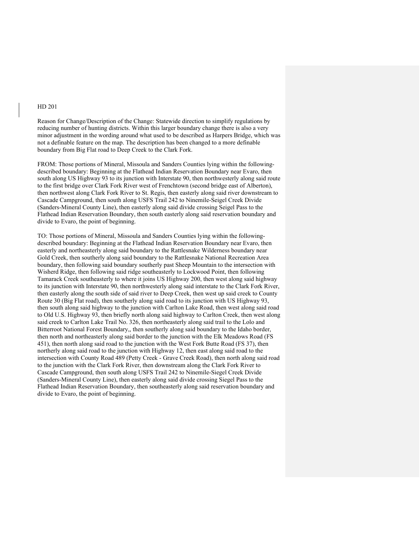Reason for Change/Description of the Change: Statewide direction to simplify regulations by reducing number of hunting districts. Within this larger boundary change there is also a very minor adjustment in the wording around what used to be described as Harpers Bridge, which was not a definable feature on the map. The description has been changed to a more definable boundary from Big Flat road to Deep Creek to the Clark Fork.

FROM: Those portions of Mineral, Missoula and Sanders Counties lying within the followingdescribed boundary: Beginning at the Flathead Indian Reservation Boundary near Evaro, then south along US Highway 93 to its junction with Interstate 90, then northwesterly along said route to the first bridge over Clark Fork River west of Frenchtown (second bridge east of Alberton), then northwest along Clark Fork River to St. Regis, then easterly along said river downstream to Cascade Campground, then south along USFS Trail 242 to Ninemile-Seigel Creek Divide (Sanders-Mineral County Line), then easterly along said divide crossing Seigel Pass to the Flathead Indian Reservation Boundary, then south easterly along said reservation boundary and divide to Evaro, the point of beginning.

TO: Those portions of Mineral, Missoula and Sanders Counties lying within the followingdescribed boundary: Beginning at the Flathead Indian Reservation Boundary near Evaro, then easterly and northeasterly along said boundary to the Rattlesnake Wilderness boundary near Gold Creek, then southerly along said boundary to the Rattlesnake National Recreation Area boundary, then following said boundary southerly past Sheep Mountain to the intersection with Wisherd Ridge, then following said ridge southeasterly to Lockwood Point, then following Tamarack Creek southeasterly to where it joins US Highway 200, then west along said highway to its junction with Interstate 90, then northwesterly along said interstate to the Clark Fork River, then easterly along the south side of said river to Deep Creek, then west up said creek to County Route 30 (Big Flat road), then southerly along said road to its junction with US Highway 93, then south along said highway to the junction with Carlton Lake Road, then west along said road to Old U.S. Highway 93, then briefly north along said highway to Carlton Creek, then west along said creek to Carlton Lake Trail No. 326, then northeasterly along said trail to the Lolo and Bitterroot National Forest Boundary,, then southerly along said boundary to the Idaho border, then north and northeasterly along said border to the junction with the Elk Meadows Road (FS 451), then north along said road to the junction with the West Fork Butte Road (FS 37), then northerly along said road to the junction with Highway 12, then east along said road to the intersection with County Road 489 (Petty Creek - Grave Creek Road), then north along said road to the junction with the Clark Fork River, then downstream along the Clark Fork River to Cascade Campground, then south along USFS Trail 242 to Ninemile-Siegel Creek Divide (Sanders-Mineral County Line), then easterly along said divide crossing Siegel Pass to the Flathead Indian Reservation Boundary, then southeasterly along said reservation boundary and divide to Evaro, the point of beginning.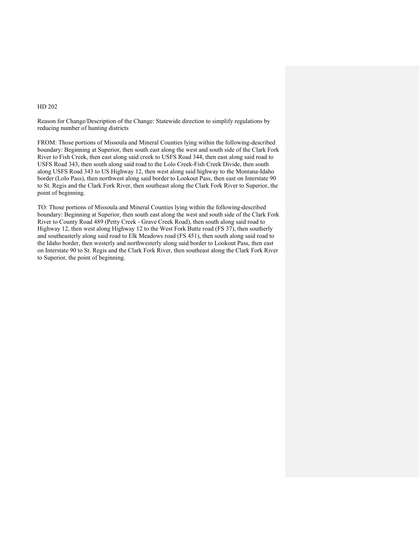Reason for Change/Description of the Change: Statewide direction to simplify regulations by reducing number of hunting districts

FROM: Those portions of Missoula and Mineral Counties lying within the following-described boundary: Beginning at Superior, then south east along the west and south side of the Clark Fork River to Fish Creek, then east along said creek to USFS Road 344, then east along said road to USFS Road 343, then south along said road to the Lolo Creek-Fish Creek Divide, then south along USFS Road 343 to US Highway 12, then west along said highway to the Montana-Idaho border (Lolo Pass), then northwest along said border to Lookout Pass, then east on Interstate 90 to St. Regis and the Clark Fork River, then southeast along the Clark Fork River to Superior, the point of beginning.

TO: Those portions of Missoula and Mineral Counties lying within the following-described boundary: Beginning at Superior, then south east along the west and south side of the Clark Fork River to County Road 489 (Petty Creek - Grave Creek Road), then south along said road to Highway 12, then west along Highway 12 to the West Fork Butte road (FS 37), then southerly and southeasterly along said road to Elk Meadows road (FS 451), then south along said road to the Idaho border, then westerly and northwesterly along said border to Lookout Pass, then east on Interstate 90 to St. Regis and the Clark Fork River, then southeast along the Clark Fork River to Superior, the point of beginning.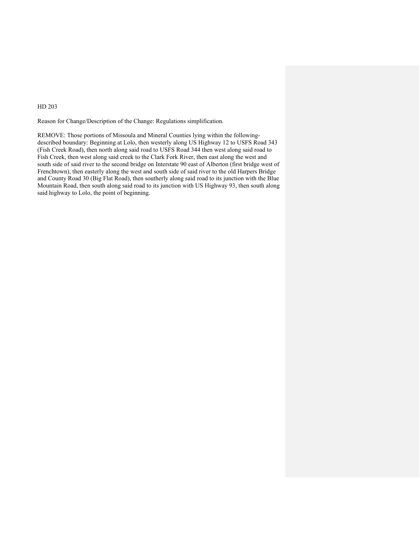Reason for Change/Description of the Change: Regulations simplification.

REMOVE: Those portions of Missoula and Mineral Counties lying within the followingdescribed boundary: Beginning at Lolo, then westerly along US Highway 12 to USFS Road 343 (Fish Creek Road), then north along said road to USFS Road 344 then west along said road to Fish Creek, then west along said creek to the Clark Fork River, then east along the west and south side of said river to the second bridge on Interstate 90 east of Alberton (first bridge west of Frenchtown), then easterly along the west and south side of said river to the old Harpers Bridge and County Road 30 (Big Flat Road), then southerly along said road to its junction with the Blue Mountain Road, then south along said road to its junction with US Highway 93, then south along said highway to Lolo, the point of beginning.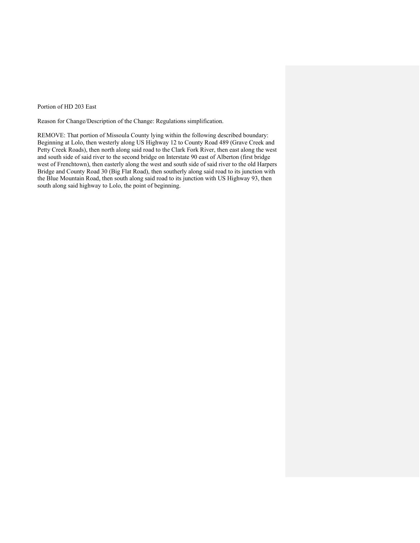Portion of HD 203 East

Reason for Change/Description of the Change: Regulations simplification.

REMOVE: That portion of Missoula County lying within the following described boundary: Beginning at Lolo, then westerly along US Highway 12 to County Road 489 (Grave Creek and Petty Creek Roads), then north along said road to the Clark Fork River, then east along the west and south side of said river to the second bridge on Interstate 90 east of Alberton (first bridge west of Frenchtown), then easterly along the west and south side of said river to the old Harpers Bridge and County Road 30 (Big Flat Road), then southerly along said road to its junction with the Blue Mountain Road, then south along said road to its junction with US Highway 93, then south along said highway to Lolo, the point of beginning.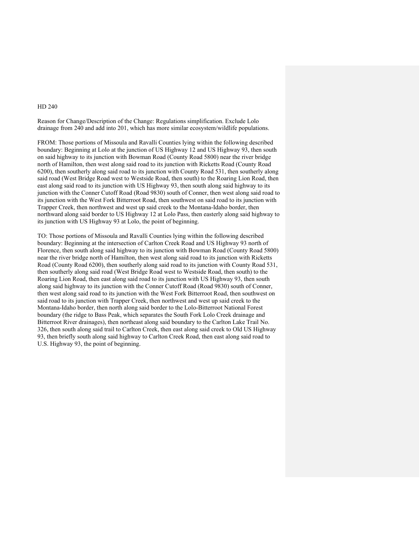Reason for Change/Description of the Change: Regulations simplification. Exclude Lolo drainage from 240 and add into 201, which has more similar ecosystem/wildlife populations.

FROM: Those portions of Missoula and Ravalli Counties lying within the following described boundary: Beginning at Lolo at the junction of US Highway 12 and US Highway 93, then south on said highway to its junction with Bowman Road (County Road 5800) near the river bridge north of Hamilton, then west along said road to its junction with Ricketts Road (County Road 6200), then southerly along said road to its junction with County Road 531, then southerly along said road (West Bridge Road west to Westside Road, then south) to the Roaring Lion Road, then east along said road to its junction with US Highway 93, then south along said highway to its junction with the Conner Cutoff Road (Road 9830) south of Conner, then west along said road to its junction with the West Fork Bitterroot Road, then southwest on said road to its junction with Trapper Creek, then northwest and west up said creek to the Montana-Idaho border, then northward along said border to US Highway 12 at Lolo Pass, then easterly along said highway to its junction with US Highway 93 at Lolo, the point of beginning.

TO: Those portions of Missoula and Ravalli Counties lying within the following described boundary: Beginning at the intersection of Carlton Creek Road and US Highway 93 north of Florence, then south along said highway to its junction with Bowman Road (County Road 5800) near the river bridge north of Hamilton, then west along said road to its junction with Ricketts Road (County Road 6200), then southerly along said road to its junction with County Road 531, then southerly along said road (West Bridge Road west to Westside Road, then south) to the Roaring Lion Road, then east along said road to its junction with US Highway 93, then south along said highway to its junction with the Conner Cutoff Road (Road 9830) south of Conner, then west along said road to its junction with the West Fork Bitterroot Road, then southwest on said road to its junction with Trapper Creek, then northwest and west up said creek to the Montana-Idaho border, then north along said border to the Lolo-Bitterroot National Forest boundary (the ridge to Bass Peak, which separates the South Fork Lolo Creek drainage and Bitterroot River drainages), then northeast along said boundary to the Carlton Lake Trail No. 326, then south along said trail to Carlton Creek, then east along said creek to Old US Highway 93, then briefly south along said highway to Carlton Creek Road, then east along said road to U.S. Highway 93, the point of beginning.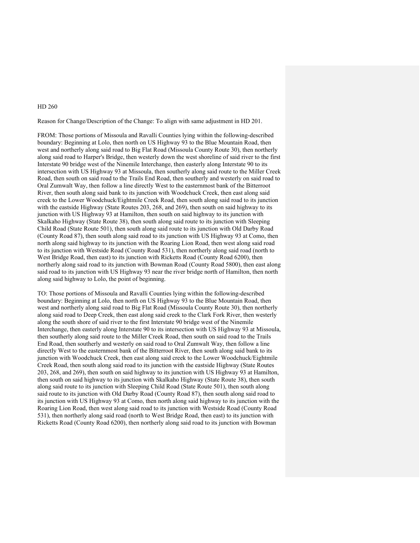Reason for Change/Description of the Change: To align with same adjustment in HD 201.

FROM: Those portions of Missoula and Ravalli Counties lying within the following-described boundary: Beginning at Lolo, then north on US Highway 93 to the Blue Mountain Road, then west and northerly along said road to Big Flat Road (Missoula County Route 30), then northerly along said road to Harper's Bridge, then westerly down the west shoreline of said river to the first Interstate 90 bridge west of the Ninemile Interchange, then easterly along Interstate 90 to its intersection with US Highway 93 at Missoula, then southerly along said route to the Miller Creek Road, then south on said road to the Trails End Road, then southerly and westerly on said road to Oral Zumwalt Way, then follow a line directly West to the easternmost bank of the Bitterroot River, then south along said bank to its junction with Woodchuck Creek, then east along said creek to the Lower Woodchuck/Eightmile Creek Road, then south along said road to its junction with the eastside Highway (State Routes 203, 268, and 269), then south on said highway to its junction with US Highway 93 at Hamilton, then south on said highway to its junction with Skalkaho Highway (State Route 38), then south along said route to its junction with Sleeping Child Road (State Route 501), then south along said route to its junction with Old Darby Road (County Road 87), then south along said road to its junction with US Highway 93 at Como, then north along said highway to its junction with the Roaring Lion Road, then west along said road to its junction with Westside Road (County Road 531), then northerly along said road (north to West Bridge Road, then east) to its junction with Ricketts Road (County Road 6200), then northerly along said road to its junction with Bowman Road (County Road 5800), then east along said road to its junction with US Highway 93 near the river bridge north of Hamilton, then north along said highway to Lolo, the point of beginning.

TO: Those portions of Missoula and Ravalli Counties lying within the following-described boundary: Beginning at Lolo, then north on US Highway 93 to the Blue Mountain Road, then west and northerly along said road to Big Flat Road (Missoula County Route 30), then northerly along said road to Deep Creek, then east along said creek to the Clark Fork River, then westerly along the south shore of said river to the first Interstate 90 bridge west of the Ninemile Interchange, then easterly along Interstate 90 to its intersection with US Highway 93 at Missoula, then southerly along said route to the Miller Creek Road, then south on said road to the Trails End Road, then southerly and westerly on said road to Oral Zumwalt Way, then follow a line directly West to the easternmost bank of the Bitterroot River, then south along said bank to its junction with Woodchuck Creek, then east along said creek to the Lower Woodchuck/Eightmile Creek Road, then south along said road to its junction with the eastside Highway (State Routes 203, 268, and 269), then south on said highway to its junction with US Highway 93 at Hamilton, then south on said highway to its junction with Skalkaho Highway (State Route 38), then south along said route to its junction with Sleeping Child Road (State Route 501), then south along said route to its junction with Old Darby Road (County Road 87), then south along said road to its junction with US Highway 93 at Como, then north along said highway to its junction with the Roaring Lion Road, then west along said road to its junction with Westside Road (County Road 531), then northerly along said road (north to West Bridge Road, then east) to its junction with Ricketts Road (County Road 6200), then northerly along said road to its junction with Bowman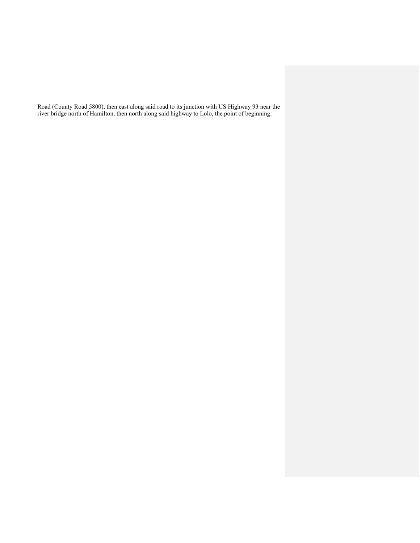Road (County Road 5800), then east along said road to its junction with US Highway 93 near the river bridge north of Hamilton, then north along said highway to Lolo, the point of beginning.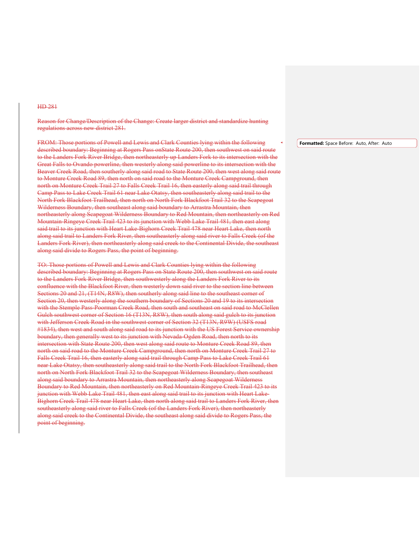Reason for Change/Description of the Change: Create larger district and standardize hunting regulations across new district 281.

FROM: Those portions of Powell and Lewis and Clark Counties lying within the following described boundary: Beginning at Rogers Pass onState Route 200, then southwest on said route to the Landers Fork River Bridge, then northeasterly up Landers Fork to its intersection with the Great Falls to Ovando powerline, then westerly along said powerline to its intersection with the Beaver Creek Road, then southerly along said road to State Route 200, then west along said route to Monture Creek Road 89, then north on said road to the Monture Creek Campground, then north on Monture Creek Trail 27 to Falls Creek Trail 16, then easterly along said trail through Camp Pass to Lake Creek Trail 61 near Lake Otatsy, then southeasterly along said trail to the North Fork Blackfoot Trailhead, then north on North Fork Blackfoot Trail 32 to the Scapegoat Wilderness Boundary, then southeast along said boundary to Arrastra Mountain, then northeasterly along Scapegoat Wilderness Boundary to Red Mountain, then northeasterly on Red Mountain-Ringeye Creek Trail 423 to its junction with Webb Lake Trail 481, then east along said trail to its junction with Heart Lake-Bighorn Creek Trail 478 near Heart Lake, then north along said trail to Landers Fork River, then southeasterly along said river to Falls Creek (of the Landers Fork River), then northeasterly along said creek to the Continental Divide, the southeast along said divide to Rogers Pass, the point of beginning.

TO: Those portions of Powell and Lewis and Clark Counties lying within the following described boundary: Beginning at Rogers Pass on State Route 200, then southwest on said route to the Landers Fork River Bridge, then southwesterly along the Landers Fork River to its confluence with the Blackfoot River, then westerly down said river to the section line between Sections 20 and 21, (T14N, R8W), then southerly along said line to the southeast corner of Section 20, then westerly along the southern boundary of Sections 20 and 19 to its intersection with the Stemple Pass-Poorman Creek Road, then south and southeast on said road to McClellen Gulch southwest corner of Section 16 (T13N, R8W), then south along said gulch to its junction with Jefferson Creek Road in the southwest corner of Section 32 (T13N, R9W) (USFS road #1834), then west and south along said road to its junction with the US Forest Service ownership boundary, then generally west to its junction with Nevada-Ogden Road, then north to its intersection with State Route 200, then west along said route to Monture Creek Road 89, then north on said road to the Monture Creek Campground, then north on Monture Creek Trail 27 to Falls Creek Trail 16, then easterly along said trail through Camp Pass to Lake Creek Trail 61 near Lake Otatsy, then southeasterly along said trail to the North Fork Blackfoot Trailhead, then north on North Fork Blackfoot Trail 32 to the Scapegoat Wilderness Boundary, then southeast along said boundary to Arrastra Mountain, then northeasterly along Scapegoat Wilderness Boundary to Red Mountain, then northeasterly on Red Mountain-Ringeye Creek Trail 423 to its junction with Webb Lake Trail 481, then east along said trail to its junction with Heart Lake-Bighorn Creek Trail 478 near Heart Lake, then north along said trail to Landers Fork River, then southeasterly along said river to Falls Creek (of the Landers Fork River), then northeasterly along said creek to the Continental Divide, the southeast along said divide to Rogers Pass, the point of beginning.

**Formatted:** Space Before: Auto, After: Auto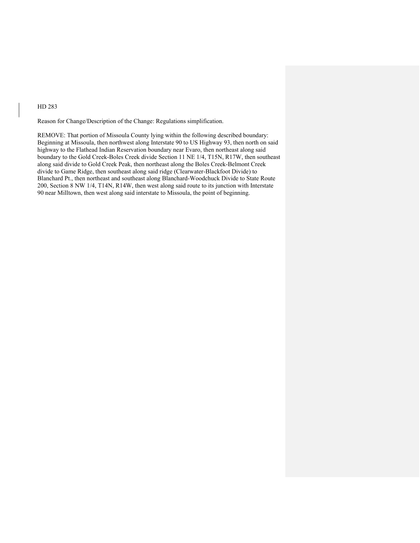Reason for Change/Description of the Change: Regulations simplification.

REMOVE: That portion of Missoula County lying within the following described boundary: Beginning at Missoula, then northwest along Interstate 90 to US Highway 93, then north on said highway to the Flathead Indian Reservation boundary near Evaro, then northeast along said boundary to the Gold Creek-Boles Creek divide Section 11 NE 1/4, T15N, R17W, then southeast along said divide to Gold Creek Peak, then northeast along the Boles Creek-Belmont Creek divide to Game Ridge, then southeast along said ridge (Clearwater-Blackfoot Divide) to Blanchard Pt., then northeast and southeast along Blanchard-Woodchuck Divide to State Route 200, Section 8 NW 1/4, T14N, R14W, then west along said route to its junction with Interstate 90 near Milltown, then west along said interstate to Missoula, the point of beginning.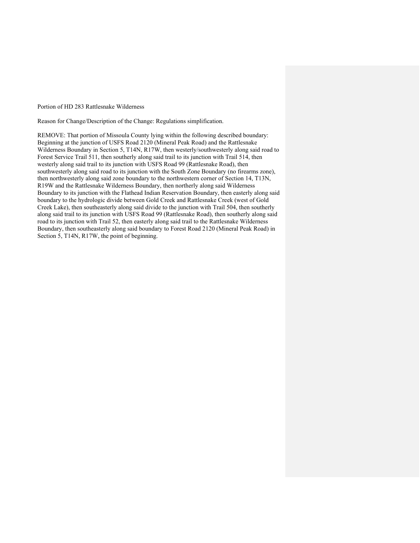Portion of HD 283 Rattlesnake Wilderness

Reason for Change/Description of the Change: Regulations simplification.

REMOVE: That portion of Missoula County lying within the following described boundary: Beginning at the junction of USFS Road 2120 (Mineral Peak Road) and the Rattlesnake Wilderness Boundary in Section 5, T14N, R17W, then westerly/southwesterly along said road to Forest Service Trail 511, then southerly along said trail to its junction with Trail 514, then westerly along said trail to its junction with USFS Road 99 (Rattlesnake Road), then southwesterly along said road to its junction with the South Zone Boundary (no firearms zone), then northwesterly along said zone boundary to the northwestern corner of Section 14, T13N, R19W and the Rattlesnake Wilderness Boundary, then northerly along said Wilderness Boundary to its junction with the Flathead Indian Reservation Boundary, then easterly along said boundary to the hydrologic divide between Gold Creek and Rattlesnake Creek (west of Gold Creek Lake), then southeasterly along said divide to the junction with Trail 504, then southerly along said trail to its junction with USFS Road 99 (Rattlesnake Road), then southerly along said road to its junction with Trail 52, then easterly along said trail to the Rattlesnake Wilderness Boundary, then southeasterly along said boundary to Forest Road 2120 (Mineral Peak Road) in Section 5, T14N, R17W, the point of beginning.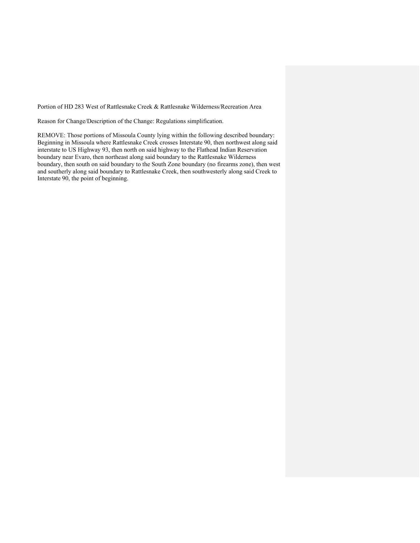Portion of HD 283 West of Rattlesnake Creek & Rattlesnake Wilderness/Recreation Area

Reason for Change/Description of the Change: Regulations simplification.

REMOVE: Those portions of Missoula County lying within the following described boundary: Beginning in Missoula where Rattlesnake Creek crosses Interstate 90, then northwest along said interstate to US Highway 93, then north on said highway to the Flathead Indian Reservation boundary near Evaro, then northeast along said boundary to the Rattlesnake Wilderness boundary, then south on said boundary to the South Zone boundary (no firearms zone), then west and southerly along said boundary to Rattlesnake Creek, then southwesterly along said Creek to Interstate 90, the point of beginning.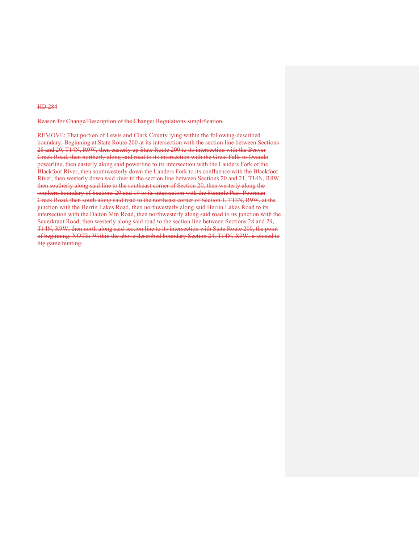Reason for Change/Description of the Change: Regulations simplification.

REMOVE: That portion of Lewis and Clark County lying within the following-described boundary: Beginning at State Route 200 at its intersection with the section line between Sections 28 and 29, T14N, R9W, then easterly up State Route 200 to its intersection with the Beaver Creek Road, then northerly along said road to its intersection with the Great Falls to Ovando powerline, then easterly along said powerline to its intersection with the Landers Fork of the Blackfoot River, then southwesterly down the Landers Fork to its confluence with the Blackfoot River, then westerly down said river to the section line between Sections 20 and 21, T14N, R8W, then southerly along said line to the southeast corner of Section 20, then westerly along the southern boundary of Sections 20 and 19 to its intersection with the Stemple Pass-Poorman Creek Road, then south along said road to the northeast corner of Section 1, T13N, R9W, at the junction with the Herrin Lakes Road, then northwesterly along said Herrin Lakes Road to its intersection with the Dalton Mtn Road, then northwesterly along said road to its junction with the Sauerkraut Road; then westerly along said road to the section line between Sections 28 and 29, T14N, R9W, then north along said section line to its intersection with State Route 200, the point of beginning. NOTE: Within the above-described boundary Section 24, T14N, R9W, is closed to big game hunting.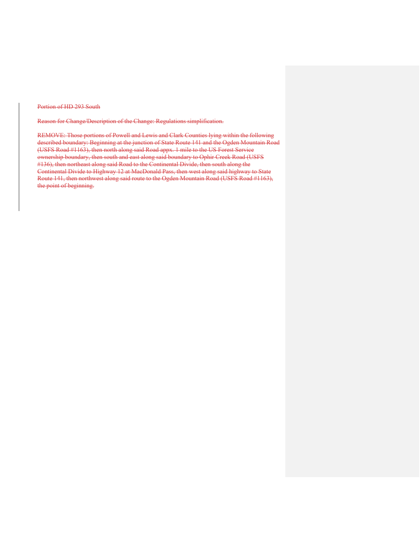Portion of HD 293 South

Reason for Change/Description of the Change: Regulations simplification.

REMOVE: Those portions of Powell and Lewis and Clark Counties lying within the following described boundary: Beginning at the junction of State Route 141 and the Ogden Mountain Road (USFS Road #1163), then north along said Road appx. 1 mile to the US Forest Service ownership boundary, then south and east along said boundary to Ophir Creek Road (USFS #136), then northeast along said Road to the Continental Divide, then south along the Continental Divide to Highway 12 at MacDonald Pass, then west along said highway to State Route 141, then northwest along said route to the Ogden Mountain Road (USFS Road #1163), the point of beginning.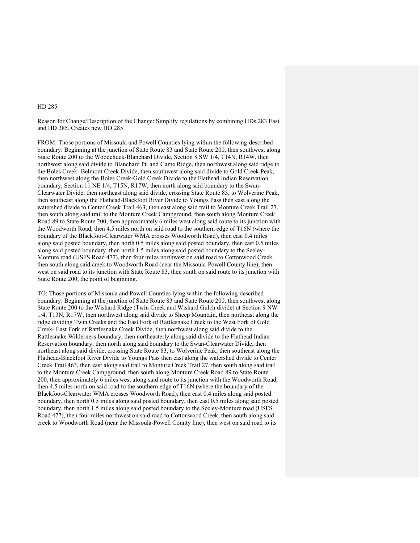Reason for Change/Description of the Change: Simplify regulations by combining HDs 283 East and HD 285. Creates new HD 285.

FROM: Those portions of Missoula and Powell Counties lying within the following-described boundary: Beginning at the junction of State Route 83 and State Route 200, then southwest along State Route 200 to the Woodchuck-Blanchard Divide, Section 8 SW 1/4, T14N, R14W, then northwest along said divide to Blanchard Pt. and Game Ridge, then northwest along said ridge to the Boles Creek- Belmont Creek Divide, then southwest along said divide to Gold Creek Peak, then northwest along the Boles Creek-Gold Creek Divide to the Flathead Indian Reservation boundary, Section 11 NE 1/4, T15N, R17W, then north along said boundary to the Swan-Clearwater Divide, then northeast along said divide, crossing State Route 83, to Wolverine Peak, then southeast along the Flathead-Blackfoot River Divide to Youngs Pass then east along the watershed divide to Center Creek Trail 463, then east along said trail to Monture Creek Trail 27, then south along said trail to the Monture Creek Campground, then south along Monture Creek Road 89 to State Route 200, then approximately 6 miles west along said route to its junction with the Woodworth Road, then 4.5 miles north on said road to the southern edge of T16N (where the boundary of the Blackfoot-Clearwater WMA crosses Woodworth Road), then east 0.4 miles along said posted boundary, then north 0.5 miles along said posted boundary, then east 0.5 miles along said posted boundary, then north 1.5 miles along said posted boundary to the Seeley-Monture road (USFS Road 477), then four miles northwest on said road to Cottonwood Creek, then south along said creek to Woodworth Road (near the Missoula-Powell County line), then west on said road to its junction with State Route 83, then south on said route to its junction with State Route 200, the point of beginning.

TO: Those portions of Missoula and Powell Counties lying within the following-described boundary: Beginning at the junction of State Route 83 and State Route 200, then southwest along State Route 200 to the Wishard Ridge (Twin Creek and Wishard Gulch divide) at Section 9 NW 1/4, T13N, R17W, then northwest along said divide to Sheep Mountain, then northeast along the ridge dividing Twin Creeks and the East Fork of Rattlesnake Creek to the West Fork of Gold Creek- East Fork of Rattlesnake Creek Divide, then northwest along said divide to the Rattlesnake Wilderness boundary, then northeasterly along said divide to the Flathead Indian Reservation boundary, then north along said boundary to the Swan-Clearwater Divide, then northeast along said divide, crossing State Route 83, to Wolverine Peak, then southeast along the Flathead-Blackfoot River Divide to Youngs Pass then east along the watershed divide to Center Creek Trail 463, then east along said trail to Monture Creek Trail 27, then south along said trail to the Monture Creek Campground, then south along Monture Creek Road 89 to State Route 200, then approximately 6 miles west along said route to its junction with the Woodworth Road, then 4.5 miles north on said road to the southern edge of T16N (where the boundary of the Blackfoot-Clearwater WMA crosses Woodworth Road), then east 0.4 miles along said posted boundary, then north 0.5 miles along said posted boundary, then east 0.5 miles along said posted boundary, then north 1.5 miles along said posted boundary to the Seeley-Monture road (USFS Road 477), then four miles northwest on said road to Cottonwood Creek, then south along said creek to Woodworth Road (near the Missoula-Powell County line), then west on said road to its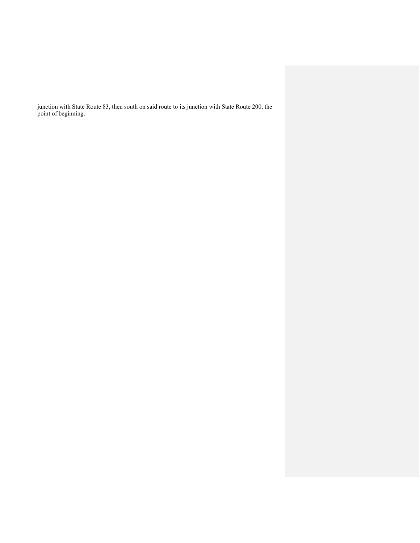junction with State Route 83, then south on said route to its junction with State Route 200, the point of beginning.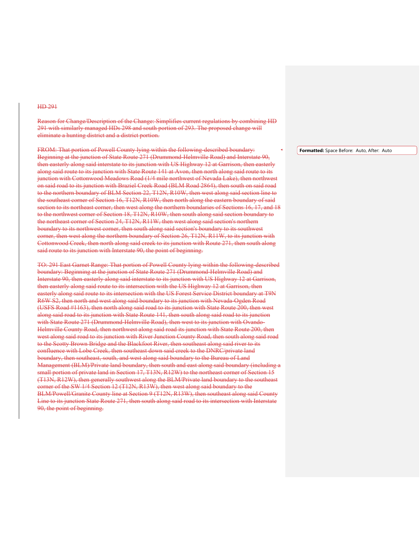Reason for Change/Description of the Change: Simplifies current regulations by combining HD 291 with similarly managed HDs 298 and south portion of 293. The proposed change will eliminate a hunting district and a district portion.

FROM: That portion of Powell County lying within the following-described boundary: Beginning at the junction of State Route 271 (Drummond-Helmville Road) and Interstate 90, then easterly along said interstate to its junction with US Highway 12 at Garrison, then easterly along said route to its junction with State Route 141 at Avon, then north along said route to its junction with Cottonwood Meadows Road (1/4 mile northwest of Nevada Lake), then northwest .<br>on said road to its junction with Braziel Creek Road (BLM Road 2864), then south on said road to the northern boundary of BLM Section 22, T12N, R10W, then west along said section line to the southeast corner of Section 16, T12N, R10W, then north along the eastern boundary of said section to its northeast corner, then west along the northern boundaries of Sections 16, 17, and 18 to the northwest corner of Section 18, T12N, R10W, then south along said section boundary to the northeast corner of Section 24, T12N, R11W, then west along said section's northern boundary to its northwest corner, then south along said section's boundary to its southwest corner, then west along the northern boundary of Section 26, T12N, R11W, to its junction with Cottonwood Creek, then north along said creek to its junction with Route 271, then south along said route to its junction with Interstate 90, the point of beginning.

TO: 291 East Garnet Range: That portion of Powell County lying within the following-described boundary: Beginning at the junction of State Route 271 (Drummond-Helmville Road) and Interstate 90, then easterly along said interstate to its junction with US Highway 12 at Garrison, then easterly along said route to its intersection with the US Highway 12 at Garrison, then easterly along said route to its intersection with the US Forest Service District boundary at T9N R6W S2, then north and west along said boundary to its junction with Nevada-Ogden Road (USFS Road #1163), then north along said road to its junction with State Route 200, then west along said road to its junction with State Route 141, then south along said road to its junction with State Route 271 (Drummond-Helmville Road), then west to its junction with Ovando-Helmville County Road, then northwest along said road its junction with State Route 200, then west along said road to its junction with River Junction County Road, then south along said road to the Scotty Brown Bridge and the Blackfoot River, then southeast along said river to its confluence with Lobe Creek, then southeast down said creek to the DNRC/private land boundary, then southeast, south, and west along said boundary to the Bureau of Land Management (BLM)/Private land boundary, then south and east along said boundary (including a small portion of private land in Section 17, T13N, R12W) to the northeast corner of Section 15 (T13N, R12W), then generally southwest along the BLM/Private land boundary to the southeast corner of the SW 1/4 Section 12 (T12N, R13W), then west along said boundary to the BLM/Powell/Granite County line at Section 9 (T12N, R13W), then southeast along said County Line to its junction State Route 271, then south along said road to its intersection with Interstate 90, the point of beginning.

**Formatted:** Space Before: Auto, After: Auto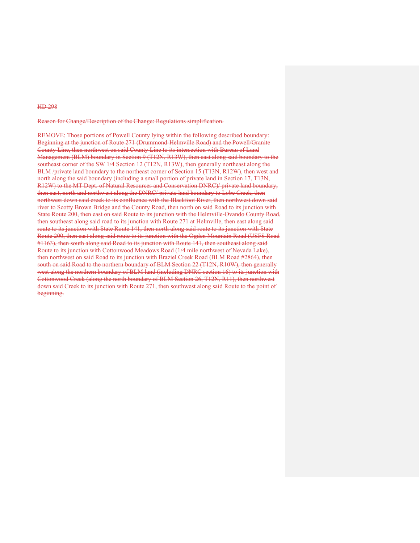Reason for Change/Description of the Change: Regulations simplification.

REMOVE: Those portions of Powell County lying within the following described boundary: Beginning at the junction of Route 271 (Drummond-Helmville Road) and the Powell/Granite County Line, then northwest on said County Line to its intersection with Bureau of Land Management (BLM) boundary in Section 9 (T12N, R13W), then east along said boundary to the southeast corner of the SW 1/4 Section 12 (T12N, R13W), then generally northeast along the BLM /private land boundary to the northeast corner of Section 15 (T13N, R12W), then west and north along the said boundary (including a small portion of private land in Section 17, T13N, R12W) to the MT Dept. of Natural Resources and Conservation DNRC)/ private land boundary, then east, north and northwest along the DNRC/ private land boundary to Lobe Creek, then northwest down said creek to its confluence with the Blackfoot River, then northwest down said river to Scotty Brown Bridge and the County Road, then north on said Road to its junction with State Route 200, then east on said Route to its junction with the Helmville-Ovando County Road, then southeast along said road to its junction with Route 271 at Helmville, then east along said route to its junction with State Route 141, then north along said route to its junction with State Route 200, then east along said route to its junction with the Ogden Mountain Road (USFS Road #1163), then south along said Road to its junction with Route 141, then southeast along said Route to its junction with Cottonwood Meadows Road (1/4 mile northwest of Nevada Lake), then northwest on said Road to its junction with Braziel Creek Road (BLM Road #2864), then south on said Road to the northern boundary of BLM Section 22 (T12N, R10W), then generally west along the northern boundary of BLM land (including DNRC section 16) to its junction with Cottonwood Creek (along the north boundary of BLM Section 26, T12N, R11), then northwest down said Creek to its junction with Route 271, then southwest along said Route to the point of beginning.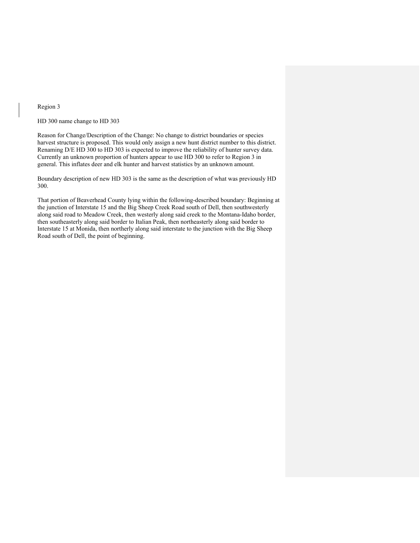Region 3

HD 300 name change to HD 303

Reason for Change/Description of the Change: No change to district boundaries or species harvest structure is proposed. This would only assign a new hunt district number to this district. Renaming D/E HD 300 to HD 303 is expected to improve the reliability of hunter survey data. Currently an unknown proportion of hunters appear to use HD 300 to refer to Region 3 in general. This inflates deer and elk hunter and harvest statistics by an unknown amount.

Boundary description of new HD 303 is the same as the description of what was previously HD 300.

That portion of Beaverhead County lying within the following-described boundary: Beginning at the junction of Interstate 15 and the Big Sheep Creek Road south of Dell, then southwesterly along said road to Meadow Creek, then westerly along said creek to the Montana-Idaho border, then southeasterly along said border to Italian Peak, then northeasterly along said border to Interstate 15 at Monida, then northerly along said interstate to the junction with the Big Sheep Road south of Dell, the point of beginning.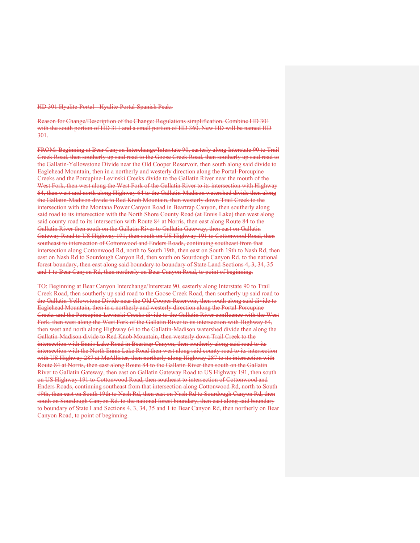HD 301 Hyalite-Portal - Hyalite-Portal-Spanish Peaks

Reason for Change/Description of the Change: Regulations simplification. Combine HD 301 with the south portion of HD 311 and a small portion of HD 360. New HD will be named HD 301.

FROM: Beginning at Bear Canyon Interchange/Interstate 90, easterly along Interstate 90 to Trail Creek Road, then southerly up said road to the Goose Creek Road, then southerly up said road to the Gallatin-Yellowstone Divide near the Old Cooper Reservoir, then south along said divide to Eaglehead Mountain, then in a northerly and westerly direction along the Portal-Porcupine Creeks and the Porcupine-Levinski Creeks divide to the Gallatin River near the mouth of the West Fork, then west along the West Fork of the Gallatin River to its intersection with Highway 64, then west and north along Highway 64 to the Gallatin-Madison watershed divide then along the Gallatin-Madison divide to Red Knob Mountain, then westerly down Trail Creek to the intersection with the Montana Power Canyon Road in Beartrap Canyon, then southerly along said road to its intersection with the North Shore County Road (at Ennis Lake) then west along said county road to its intersection with Route 84 at Norris, then east along Route 84 to the Gallatin River then south on the Gallatin River to Gallatin Gateway, then east on Gallatin Gateway Road to US Highway 191, then south on US Highway 191 to Cottonwood Road, then southeast to intersection of Cottonwood and Enders Roads, continuing southeast from that intersection along Cottonwood Rd, north to South 19th, then east on South 19th to Nash Rd, then east on Nash Rd to Sourdough Canyon Rd, then south on Sourdough Canyon Rd. to the national forest boundary, then east along said boundary to boundary of State Land Sections 4, 3, 34, 35 and 1 to Bear Canyon Rd, then northerly on Bear Canyon Road, to point of beginning.

TO: Beginning at Bear Canyon Interchange/Interstate 90, easterly along Interstate 90 to Trail Creek Road, then southerly up said road to the Goose Creek Road, then southerly up said road to the Gallatin-Yellowstone Divide near the Old Cooper Reservoir, then south along said divide to Eaglehead Mountain, then in a northerly and westerly direction along the Portal-Porcupine Creeks and the Porcupine-Levinski Creeks divide to the Gallatin River confluence with the West Fork, then west along the West Fork of the Gallatin River to its intersection with Highway 64, then west and north along Highway 64 to the Gallatin-Madison watershed divide then along the Gallatin-Madison divide to Red Knob Mountain, then westerly down Trail Creek to the intersection with Ennis Lake Road in Beartrap Canyon, then southerly along said road to its intersection with the North Ennis Lake Road then west along said county road to its intersection with US Highway 287 at McAllister, then northerly along Highway 287 to its intersection with Route 84 at Norris, then east along Route 84 to the Gallatin River then south on the Gallatin River to Gallatin Gateway, then east on Gallatin Gateway Road to US Highway 191, then south on US Highway 191 to Cottonwood Road, then southeast to intersection of Cottonwood and Enders Roads, continuing southeast from that intersection along Cottonwood Rd, north to South 19th, then east on South 19th to Nash Rd, then east on Nash Rd to Sourdough Canyon Rd, then south on Sourdough Canyon Rd. to the national forest boundary, then east along said boundary to boundary of State Land Sections 4, 3, 34, 35 and 1 to Bear Canyon Rd, then northerly on Bear Canyon Road, to point of beginning.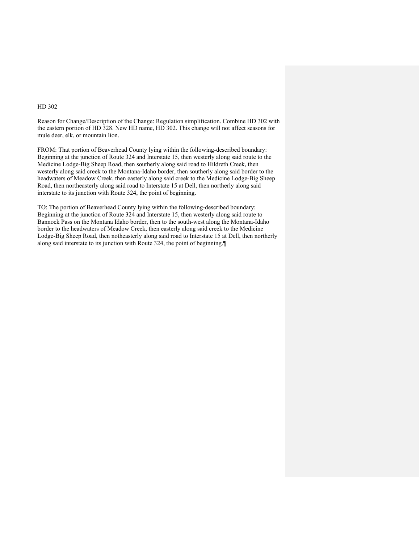Reason for Change/Description of the Change: Regulation simplification. Combine HD 302 with the eastern portion of HD 328. New HD name, HD 302. This change will not affect seasons for mule deer, elk, or mountain lion.

FROM: That portion of Beaverhead County lying within the following-described boundary: Beginning at the junction of Route 324 and Interstate 15, then westerly along said route to the Medicine Lodge-Big Sheep Road, then southerly along said road to Hildreth Creek, then westerly along said creek to the Montana-Idaho border, then southerly along said border to the headwaters of Meadow Creek, then easterly along said creek to the Medicine Lodge-Big Sheep Road, then northeasterly along said road to Interstate 15 at Dell, then northerly along said interstate to its junction with Route 324, the point of beginning.

TO: The portion of Beaverhead County lying within the following-described boundary: Beginning at the junction of Route 324 and Interstate 15, then westerly along said route to Bannock Pass on the Montana Idaho border, then to the south-west along the Montana-Idaho border to the headwaters of Meadow Creek, then easterly along said creek to the Medicine Lodge-Big Sheep Road, then notheasterly along said road to Interstate 15 at Dell, then northerly along said interstate to its junction with Route 324, the point of beginning.¶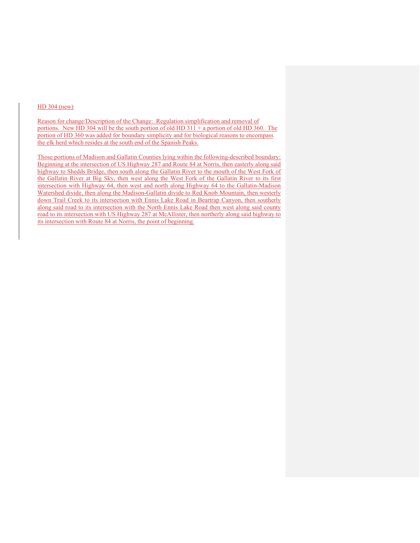### HD 304 (new)

Reason for change/Description of the Change: Regulation simplification and removal of portions. New HD 304 will be the south portion of old HD  $311 + a$  portion of old HD 360. The portion of HD 360 was added for boundary simplicity and for biological reasons to encompass the elk herd which resides at the south end of the Spanish Peaks.

Those portions of Madison and Gallatin Counties lying within the following-described boundary: Beginning at the intersection of US Highway 287 and Route 84 at Norris, then easterly along said highway to Shedds Bridge, then south along the Gallatin River to the mouth of the West Fork of the Gallatin River at Big Sky, then west along the West Fork of the Gallatin River to its first intersection with Highway 64, then west and north along Highway 64 to the Gallatin-Madison Watershed divide, then along the Madison-Gallatin divide to Red Knob Mountain, then westerly down Trail Creek to its intersection with Ennis Lake Road in Beartrap Canyon, then southerly along said road to its intersection with the North Ennis Lake Road then west along said county road to its intersection with US Highway 287 at McAllister, then northerly along said highway to its intersection with Route 84 at Norris, the point of beginning.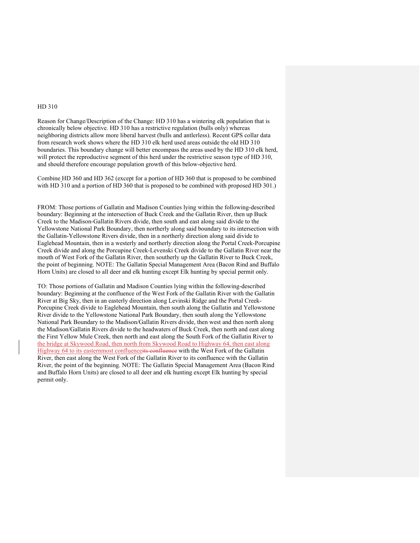Reason for Change/Description of the Change: HD 310 has a wintering elk population that is chronically below objective. HD 310 has a restrictive regulation (bulls only) whereas neighboring districts allow more liberal harvest (bulls and antlerless). Recent GPS collar data from research work shows where the HD 310 elk herd used areas outside the old HD 310 boundaries. This boundary change will better encompass the areas used by the HD 310 elk herd, will protect the reproductive segment of this herd under the restrictive season type of HD 310, and should therefore encourage population growth of this below-objective herd.

Combine HD 360 and HD 362 (except for a portion of HD 360 that is proposed to be combined with HD 310 and a portion of HD 360 that is proposed to be combined with proposed HD 301.)

FROM: Those portions of Gallatin and Madison Counties lying within the following-described boundary: Beginning at the intersection of Buck Creek and the Gallatin River, then up Buck Creek to the Madison-Gallatin Rivers divide, then south and east along said divide to the Yellowstone National Park Boundary, then northerly along said boundary to its intersection with the Gallatin-Yellowstone Rivers divide, then in a northerly direction along said divide to Eaglehead Mountain, then in a westerly and northerly direction along the Portal Creek-Porcupine Creek divide and along the Porcupine Creek-Levenski Creek divide to the Gallatin River near the mouth of West Fork of the Gallatin River, then southerly up the Gallatin River to Buck Creek, the point of beginning. NOTE: The Gallatin Special Management Area (Bacon Rind and Buffalo Horn Units) are closed to all deer and elk hunting except Elk hunting by special permit only.

TO: Those portions of Gallatin and Madison Counties lying within the following-described boundary: Beginning at the confluence of the West Fork of the Gallatin River with the Gallatin River at Big Sky, then in an easterly direction along Levinski Ridge and the Portal Creek-Porcupine Creek divide to Eaglehead Mountain, then south along the Gallatin and Yellowstone River divide to the Yellowstone National Park Boundary, then south along the Yellowstone National Park Boundary to the Madison/Gallatin Rivers divide, then west and then north along the Madison/Gallatin Rivers divide to the headwaters of Buck Creek, then north and east along the First Yellow Mule Creek, then north and east along the South Fork of the Gallatin River to the bridge at Skywood Road, then north from Skywood Road to Highway 64, then east along Highway 64 to its easternmost confluenceits confluence with the West Fork of the Gallatin River, then east along the West Fork of the Gallatin River to its confluence with the Gallatin River, the point of the beginning. NOTE: The Gallatin Special Management Area (Bacon Rind and Buffalo Horn Units) are closed to all deer and elk hunting except Elk hunting by special permit only.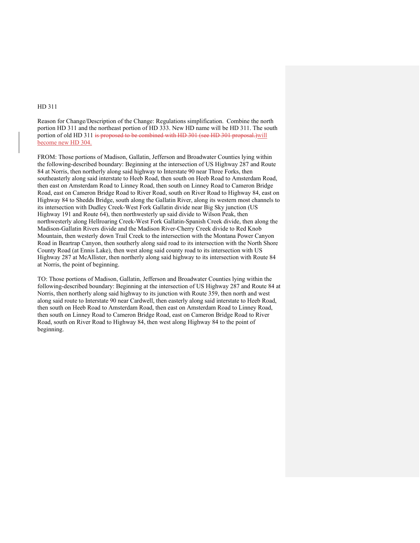Reason for Change/Description of the Change: Regulations simplification. Combine the north portion HD 311 and the northeast portion of HD 333. New HD name will be HD 311. The south portion of old HD 311 is proposed to be combined with HD 301 (see HD 301 proposal.) will become new HD 304.

FROM: Those portions of Madison, Gallatin, Jefferson and Broadwater Counties lying within the following-described boundary: Beginning at the intersection of US Highway 287 and Route 84 at Norris, then northerly along said highway to Interstate 90 near Three Forks, then southeasterly along said interstate to Heeb Road, then south on Heeb Road to Amsterdam Road, then east on Amsterdam Road to Linney Road, then south on Linney Road to Cameron Bridge Road, east on Cameron Bridge Road to River Road, south on River Road to Highway 84, east on Highway 84 to Shedds Bridge, south along the Gallatin River, along its western most channels to its intersection with Dudley Creek-West Fork Gallatin divide near Big Sky junction (US Highway 191 and Route 64), then northwesterly up said divide to Wilson Peak, then northwesterly along Hellroaring Creek-West Fork Gallatin-Spanish Creek divide, then along the Madison-Gallatin Rivers divide and the Madison River-Cherry Creek divide to Red Knob Mountain, then westerly down Trail Creek to the intersection with the Montana Power Canyon Road in Beartrap Canyon, then southerly along said road to its intersection with the North Shore County Road (at Ennis Lake), then west along said county road to its intersection with US Highway 287 at McAllister, then northerly along said highway to its intersection with Route 84 at Norris, the point of beginning.

TO: Those portions of Madison, Gallatin, Jefferson and Broadwater Counties lying within the following-described boundary: Beginning at the intersection of US Highway 287 and Route 84 at Norris, then northerly along said highway to its junction with Route 359, then north and west along said route to Interstate 90 near Cardwell, then easterly along said interstate to Heeb Road, then south on Heeb Road to Amsterdam Road, then east on Amsterdam Road to Linney Road, then south on Linney Road to Cameron Bridge Road, east on Cameron Bridge Road to River Road, south on River Road to Highway 84, then west along Highway 84 to the point of beginning.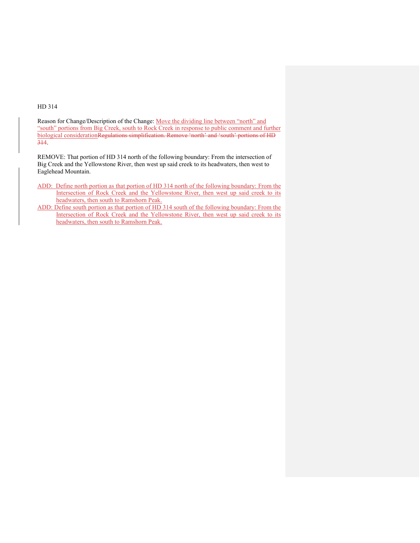Reason for Change/Description of the Change: Move the dividing line between "north" and "south" portions from Big Creek, south to Rock Creek in response to public comment and further biological considerationRegulations simplification. Remove 'north' and 'south' portions of HD 314.

REMOVE: That portion of HD 314 north of the following boundary: From the intersection of Big Creek and the Yellowstone River, then west up said creek to its headwaters, then west to Eaglehead Mountain.

- ADD: Define north portion as that portion of HD 314 north of the following boundary: From the Intersection of Rock Creek and the Yellowstone River, then west up said creek to its headwaters, then south to Ramshorn Peak.
- ADD: Define south portion as that portion of HD 314 south of the following boundary: From the Intersection of Rock Creek and the Yellowstone River, then west up said creek to its headwaters, then south to Ramshorn Peak.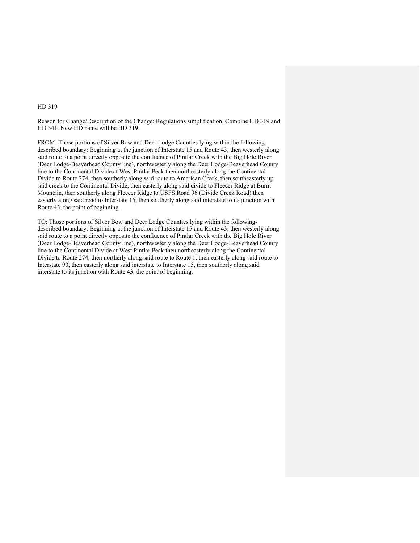Reason for Change/Description of the Change: Regulations simplification. Combine HD 319 and HD 341. New HD name will be HD 319.

FROM: Those portions of Silver Bow and Deer Lodge Counties lying within the followingdescribed boundary: Beginning at the junction of Interstate 15 and Route 43, then westerly along said route to a point directly opposite the confluence of Pintlar Creek with the Big Hole River (Deer Lodge-Beaverhead County line), northwesterly along the Deer Lodge-Beaverhead County line to the Continental Divide at West Pintlar Peak then northeasterly along the Continental Divide to Route 274, then southerly along said route to American Creek, then southeasterly up said creek to the Continental Divide, then easterly along said divide to Fleecer Ridge at Burnt Mountain, then southerly along Fleecer Ridge to USFS Road 96 (Divide Creek Road) then easterly along said road to Interstate 15, then southerly along said interstate to its junction with Route 43, the point of beginning.

TO: Those portions of Silver Bow and Deer Lodge Counties lying within the followingdescribed boundary: Beginning at the junction of Interstate 15 and Route 43, then westerly along said route to a point directly opposite the confluence of Pintlar Creek with the Big Hole River (Deer Lodge-Beaverhead County line), northwesterly along the Deer Lodge-Beaverhead County line to the Continental Divide at West Pintlar Peak then northeasterly along the Continental Divide to Route 274, then northerly along said route to Route 1, then easterly along said route to Interstate 90, then easterly along said interstate to Interstate 15, then southerly along said interstate to its junction with Route 43, the point of beginning.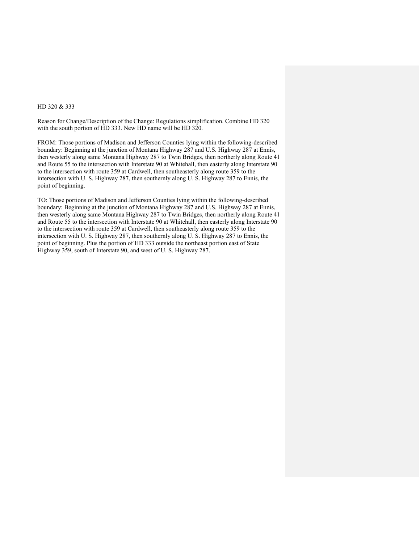### HD 320 & 333

Reason for Change/Description of the Change: Regulations simplification. Combine HD 320 with the south portion of HD 333. New HD name will be HD 320.

FROM: Those portions of Madison and Jefferson Counties lying within the following-described boundary: Beginning at the junction of Montana Highway 287 and U.S. Highway 287 at Ennis, then westerly along same Montana Highway 287 to Twin Bridges, then northerly along Route 41 and Route 55 to the intersection with Interstate 90 at Whitehall, then easterly along Interstate 90 to the intersection with route 359 at Cardwell, then southeasterly along route 359 to the intersection with U. S. Highway 287, then southernly along U. S. Highway 287 to Ennis, the point of beginning.

TO: Those portions of Madison and Jefferson Counties lying within the following-described boundary: Beginning at the junction of Montana Highway 287 and U.S. Highway 287 at Ennis, then westerly along same Montana Highway 287 to Twin Bridges, then northerly along Route 41 and Route 55 to the intersection with Interstate 90 at Whitehall, then easterly along Interstate 90 to the intersection with route 359 at Cardwell, then southeasterly along route 359 to the intersection with U. S. Highway 287, then southernly along U. S. Highway 287 to Ennis, the point of beginning. Plus the portion of HD 333 outside the northeast portion east of State Highway 359, south of Interstate 90, and west of U. S. Highway 287.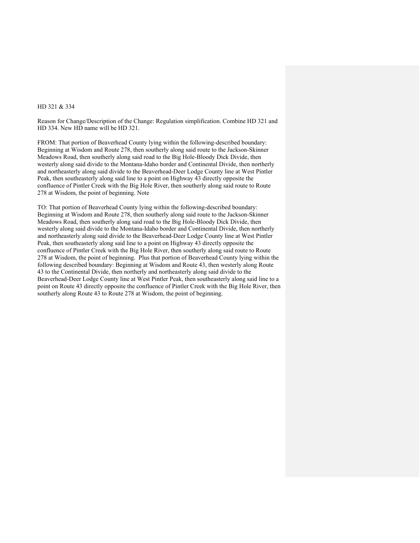## HD 321 & 334

Reason for Change/Description of the Change: Regulation simplification. Combine HD 321 and HD 334. New HD name will be HD 321.

FROM: That portion of Beaverhead County lying within the following-described boundary: Beginning at Wisdom and Route 278, then southerly along said route to the Jackson-Skinner Meadows Road, then southerly along said road to the Big Hole-Bloody Dick Divide, then westerly along said divide to the Montana-Idaho border and Continental Divide, then northerly and northeasterly along said divide to the Beaverhead-Deer Lodge County line at West Pintler Peak, then southeasterly along said line to a point on Highway 43 directly opposite the confluence of Pintler Creek with the Big Hole River, then southerly along said route to Route 278 at Wisdom, the point of beginning. Note

TO: That portion of Beaverhead County lying within the following-described boundary: Beginning at Wisdom and Route 278, then southerly along said route to the Jackson-Skinner Meadows Road, then southerly along said road to the Big Hole-Bloody Dick Divide, then westerly along said divide to the Montana-Idaho border and Continental Divide, then northerly and northeasterly along said divide to the Beaverhead-Deer Lodge County line at West Pintler Peak, then southeasterly along said line to a point on Highway 43 directly opposite the confluence of Pintler Creek with the Big Hole River, then southerly along said route to Route 278 at Wisdom, the point of beginning. Plus that portion of Beaverhead County lying within the following described boundary: Beginning at Wisdom and Route 43, then westerly along Route 43 to the Continental Divide, then northerly and northeasterly along said divide to the Beaverhead-Deer Lodge County line at West Pintler Peak, then southeasterly along said line to a point on Route 43 directly opposite the confluence of Pintler Creek with the Big Hole River, then southerly along Route 43 to Route 278 at Wisdom, the point of beginning.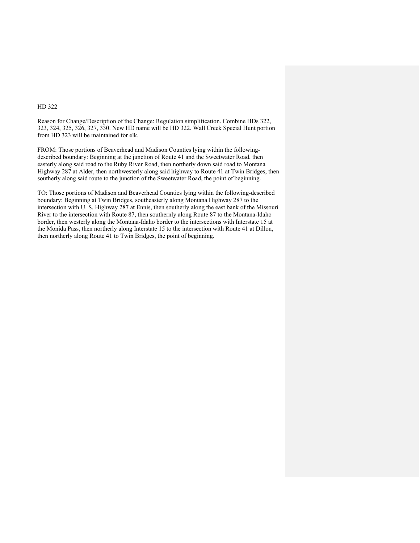Reason for Change/Description of the Change: Regulation simplification. Combine HDs 322, 323, 324, 325, 326, 327, 330. New HD name will be HD 322. Wall Creek Special Hunt portion from HD 323 will be maintained for elk.

FROM: Those portions of Beaverhead and Madison Counties lying within the followingdescribed boundary: Beginning at the junction of Route 41 and the Sweetwater Road, then easterly along said road to the Ruby River Road, then northerly down said road to Montana Highway 287 at Alder, then northwesterly along said highway to Route 41 at Twin Bridges, then southerly along said route to the junction of the Sweetwater Road, the point of beginning.

TO: Those portions of Madison and Beaverhead Counties lying within the following-described boundary: Beginning at Twin Bridges, southeasterly along Montana Highway 287 to the intersection with U. S. Highway 287 at Ennis, then southerly along the east bank of the Missouri River to the intersection with Route 87, then southernly along Route 87 to the Montana-Idaho border, then westerly along the Montana-Idaho border to the intersections with Interstate 15 at the Monida Pass, then northerly along Interstate 15 to the intersection with Route 41 at Dillon, then northerly along Route 41 to Twin Bridges, the point of beginning.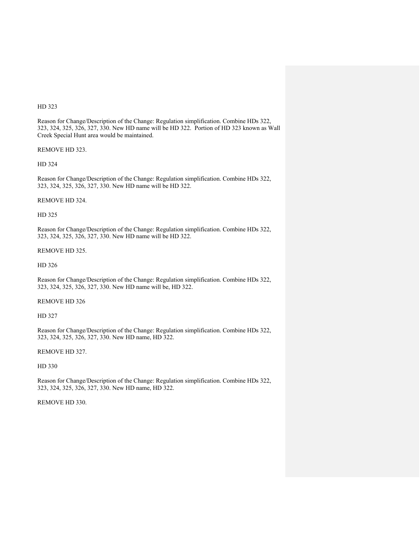Reason for Change/Description of the Change: Regulation simplification. Combine HDs 322, 323, 324, 325, 326, 327, 330. New HD name will be HD 322. Portion of HD 323 known as Wall Creek Special Hunt area would be maintained.

REMOVE HD 323.

HD 324

Reason for Change/Description of the Change: Regulation simplification. Combine HDs 322, 323, 324, 325, 326, 327, 330. New HD name will be HD 322.

#### REMOVE HD 324.

HD 325

Reason for Change/Description of the Change: Regulation simplification. Combine HDs 322, 323, 324, 325, 326, 327, 330. New HD name will be HD 322.

#### REMOVE HD 325.

HD 326

Reason for Change/Description of the Change: Regulation simplification. Combine HDs 322, 323, 324, 325, 326, 327, 330. New HD name will be, HD 322.

## REMOVE HD 326

HD 327

Reason for Change/Description of the Change: Regulation simplification. Combine HDs 322, 323, 324, 325, 326, 327, 330. New HD name, HD 322.

REMOVE HD 327.

HD 330

Reason for Change/Description of the Change: Regulation simplification. Combine HDs 322, 323, 324, 325, 326, 327, 330. New HD name, HD 322.

REMOVE HD 330.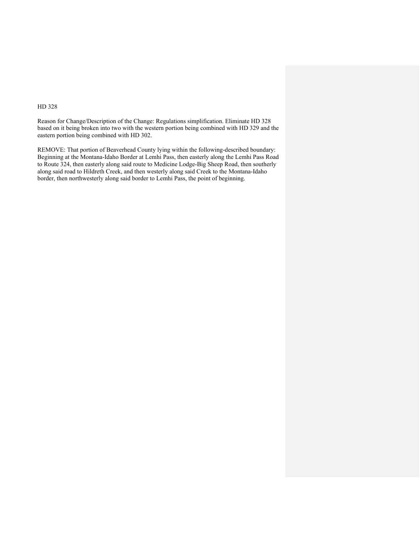Reason for Change/Description of the Change: Regulations simplification. Eliminate HD 328 based on it being broken into two with the western portion being combined with HD 329 and the eastern portion being combined with HD 302.

REMOVE: That portion of Beaverhead County lying within the following-described boundary: Beginning at the Montana-Idaho Border at Lemhi Pass, then easterly along the Lemhi Pass Road to Route 324, then easterly along said route to Medicine Lodge-Big Sheep Road, then southerly along said road to Hildreth Creek, and then westerly along said Creek to the Montana-Idaho border, then northwesterly along said border to Lemhi Pass, the point of beginning.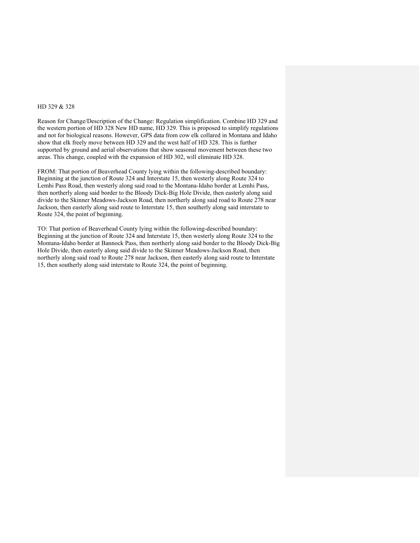### HD 329 & 328

Reason for Change/Description of the Change: Regulation simplification. Combine HD 329 and the western portion of HD 328 New HD name, HD 329. This is proposed to simplify regulations and not for biological reasons. However, GPS data from cow elk collared in Montana and Idaho show that elk freely move between HD 329 and the west half of HD 328. This is further supported by ground and aerial observations that show seasonal movement between these two areas. This change, coupled with the expansion of HD 302, will eliminate HD 328.

FROM: That portion of Beaverhead County lying within the following-described boundary: Beginning at the junction of Route 324 and Interstate 15, then westerly along Route 324 to Lemhi Pass Road, then westerly along said road to the Montana-Idaho border at Lemhi Pass, then northerly along said border to the Bloody Dick-Big Hole Divide, then easterly along said divide to the Skinner Meadows-Jackson Road, then northerly along said road to Route 278 near Jackson, then easterly along said route to Interstate 15, then southerly along said interstate to Route 324, the point of beginning.

TO: That portion of Beaverhead County lying within the following-described boundary: Beginning at the junction of Route 324 and Interstate 15, then westerly along Route 324 to the Montana-Idaho border at Bannock Pass, then northerly along said border to the Bloody Dick-Big Hole Divide, then easterly along said divide to the Skinner Meadows-Jackson Road, then northerly along said road to Route 278 near Jackson, then easterly along said route to Interstate 15, then southerly along said interstate to Route 324, the point of beginning.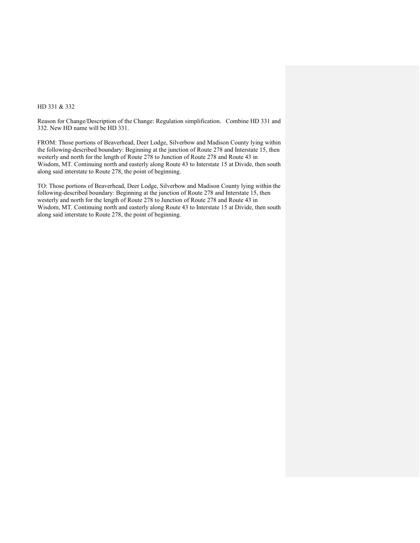## HD 331 & 332

Reason for Change/Description of the Change: Regulation simplification. Combine HD 331 and 332. New HD name will be HD 331.

FROM: Those portions of Beaverhead, Deer Lodge, Silverbow and Madison County lying within the following-described boundary: Beginning at the junction of Route 278 and Interstate 15, then westerly and north for the length of Route 278 to Junction of Route 278 and Route 43 in Wisdom, MT. Continuing north and easterly along Route 43 to Interstate 15 at Divide, then south along said interstate to Route 278, the point of beginning.

TO: Those portions of Beaverhead, Deer Lodge, Silverbow and Madison County lying within the following-described boundary: Beginning at the junction of Route 278 and Interstate 15, then westerly and north for the length of Route 278 to Junction of Route 278 and Route 43 in Wisdom, MT. Continuing north and easterly along Route 43 to Interstate 15 at Divide, then south along said interstate to Route 278, the point of beginning.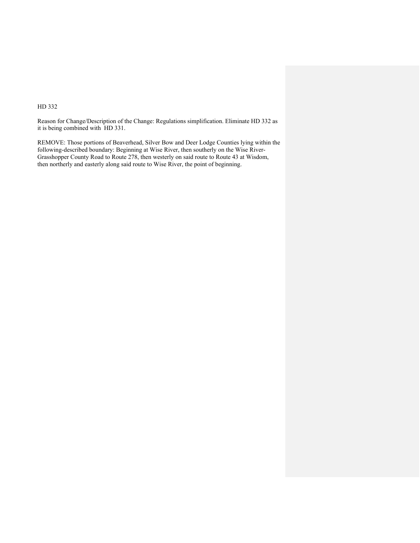Reason for Change/Description of the Change: Regulations simplification. Eliminate HD 332 as it is being combined with HD 331.

REMOVE: Those portions of Beaverhead, Silver Bow and Deer Lodge Counties lying within the following-described boundary: Beginning at Wise River, then southerly on the Wise River-Grasshopper County Road to Route 278, then westerly on said route to Route 43 at Wisdom, then northerly and easterly along said route to Wise River, the point of beginning.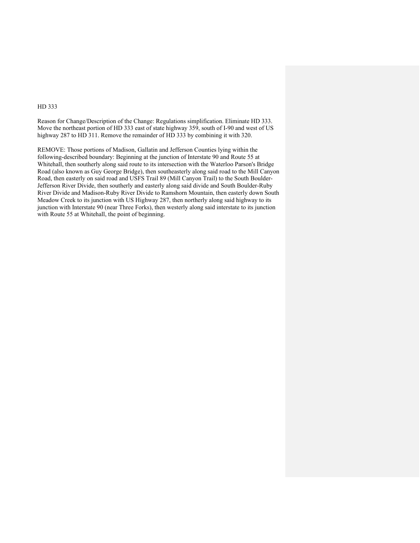Reason for Change/Description of the Change: Regulations simplification. Eliminate HD 333. Move the northeast portion of HD 333 east of state highway 359, south of I-90 and west of US highway 287 to HD 311. Remove the remainder of HD 333 by combining it with 320.

REMOVE: Those portions of Madison, Gallatin and Jefferson Counties lying within the following-described boundary: Beginning at the junction of Interstate 90 and Route 55 at Whitehall, then southerly along said route to its intersection with the Waterloo Parson's Bridge Road (also known as Guy George Bridge), then southeasterly along said road to the Mill Canyon Road, then easterly on said road and USFS Trail 89 (Mill Canyon Trail) to the South Boulder-Jefferson River Divide, then southerly and easterly along said divide and South Boulder-Ruby River Divide and Madison-Ruby River Divide to Ramshorn Mountain, then easterly down South Meadow Creek to its junction with US Highway 287, then northerly along said highway to its junction with Interstate 90 (near Three Forks), then westerly along said interstate to its junction with Route 55 at Whitehall, the point of beginning.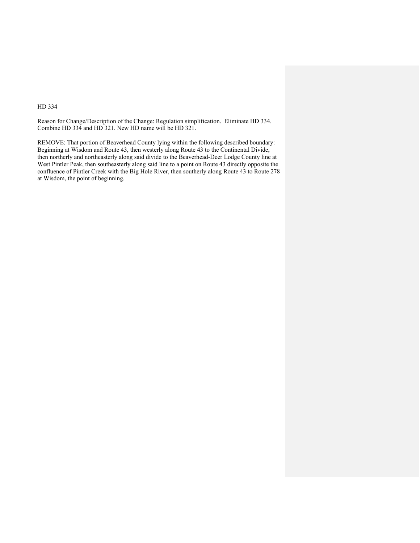Reason for Change/Description of the Change: Regulation simplification. Eliminate HD 334. Combine HD 334 and HD 321. New HD name will be HD 321.

REMOVE: That portion of Beaverhead County lying within the following described boundary: Beginning at Wisdom and Route 43, then westerly along Route 43 to the Continental Divide, then northerly and northeasterly along said divide to the Beaverhead-Deer Lodge County line at West Pintler Peak, then southeasterly along said line to a point on Route 43 directly opposite the confluence of Pintler Creek with the Big Hole River, then southerly along Route 43 to Route 278 at Wisdom, the point of beginning.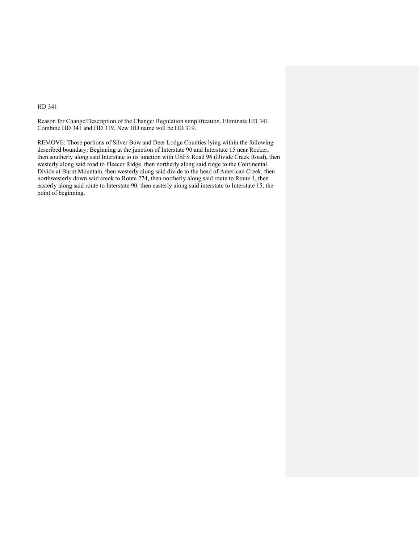Reason for Change/Description of the Change: Regulation simplification. Eliminate HD 341. Combine HD 341 and HD 319. New HD name will be HD 319.

REMOVE: Those portions of Silver Bow and Deer Lodge Counties lying within the followingdescribed boundary: Beginning at the junction of Interstate 90 and Interstate 15 near Rocker, then southerly along said Interstate to its junction with USFS Road 96 (Divide Creek Road), then westerly along said road to Fleecer Ridge, then northerly along said ridge to the Continental Divide at Burnt Mountain, then westerly along said divide to the head of American Creek, then northwesterly down said creek to Route 274, then northerly along said route to Route 1, then easterly along said route to Interstate 90, then easterly along said interstate to Interstate 15, the point of beginning.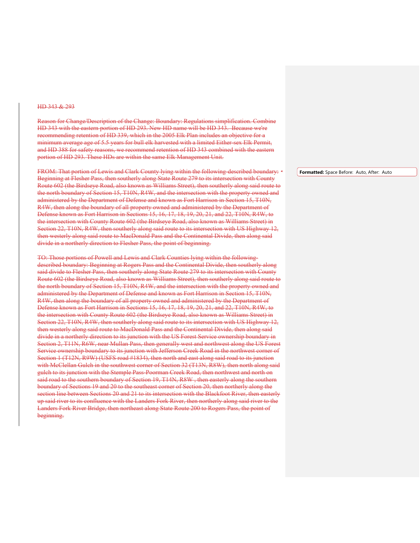#### HD 343 & 293

Reason for Change/Description of the Change: Boundary: Regulations simplification. Combine HD 343 with the eastern portion of HD 293. New HD name will be HD 343. Because we're recommending retention of HD 339, which in the 2005 Elk Plan includes an objective for a minimum average age of 5.5 years for bull elk harvested with a limited Either-sex Elk Permit, and HD 388 for safety reasons, we recommend retention of HD 343 combined with the eastern portion of HD 293. These HDs are within the same Elk Management Unit.

FROM: That portion of Lewis and Clark County lying within the following-described boundary: Beginning at Flesher Pass, then southerly along State Route 279 to its intersection with County Route 602 (the Birdseye Road, also known as Williams Street), then southerly along said route to the north boundary of Section 15, T10N, R4W, and the intersection with the property owned and administered by the Department of Defense and known as Fort Harrison in Section 15, T10N, R4W, then along the boundary of all property owned and administered by the Department of Defense known as Fort Harrison in Sections 15, 16, 17, 18, 19, 20, 21, and 22, T10N, R4W, to the intersection with County Route 602 (the Birdseye Road, also known as Williams Street) in Section 22, T10N, R4W, then southerly along said route to its intersection with US Highway 12, then westerly along said route to MacDonald Pass and the Continental Divide, then along said divide in a northerly direction to Flesher Pass, the point of beginning.

TO: Those portions of Powell and Lewis and Clark Counties lying within the followingdescribed boundary: Beginning at Rogers Pass and the Continental Divide, then southerly along said divide to Flesher Pass, then southerly along State Route 279 to its intersection with County Route 602 (the Birdseye Road, also known as Williams Street), then southerly along said route to the north boundary of Section 15, T10N, R4W, and the intersection with the property owned and administered by the Department of Defense and known as Fort Harrison in Section 15, T10N, R4W, then along the boundary of all property owned and administered by the Department of Defense known as Fort Harrison in Sections 15, 16, 17, 18, 19, 20, 21, and 22, T10N, R4W, to the intersection with County Route 602 (the Birdseye Road, also known as Williams Street) in Section 22, T10N, R4W, then southerly along said route to its intersection with US Highway 12, then westerly along said route to MacDonald Pass and the Continental Divide, then along said divide in a northerly direction to its junction with the US Forest Service ownership boundary in Section 2, T11N, R6W, near Mullan Pass, then generally west and northwest along the US Forest Service ownership boundary to its junction with Jefferson Creek Road in the northwest corner of Section 1 (T12N, R9W) (USFS road #1834), then north and east along said road to its junction with McClellan Gulch in the southwest corner of Section 32 (T13N, R8W), then north along said gulch to its junction with the Stemple Pass-Poorman Creek Road, then northwest and north on said road to the southern boundary of Section 19, T14N, R8W, then easterly along the southern boundary of Sections 19 and 20 to the southeast corner of Section 20, then northerly along the section line between Sections 20 and 21 to its intersection with the Blackfoot River, then easterly up said river to its confluence with the Landers Fork River, then northerly along said river to the Landers Fork River Bridge, then northeast along State Route 200 to Rogers Pass, the point of beginning.

**Formatted:** Space Before: Auto, After: Auto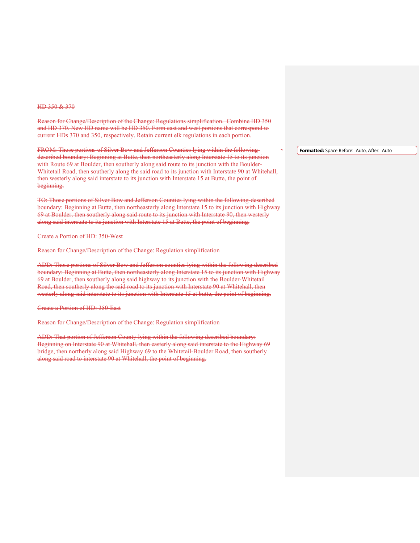#### HD 350 & 370

Reason for Change/Description of the Change: Regulations simplification. Combine HD 350 and HD 370. New HD name will be HD 350. Form east and west portions that correspond to current HDs 370 and 350, respectively. Retain current elk regulations in each portion.

FROM: Those portions of Silver Bow and Jefferson Counties lying within the followingdescribed boundary: Beginning at Butte, then northeasterly along Interstate 15 to its junction with Route 69 at Boulder, then southerly along said route to its junction with the Boulder-Whitetail Road, then southerly along the said road to its junction with Interstate 90 at Whitehall, then westerly along said interstate to its junction with Interstate 15 at Butte, the point of beginning.

TO: Those portions of Silver Bow and Jefferson Counties lying within the following-described boundary: Beginning at Butte, then northeasterly along Interstate 15 to its junction with Highway 69 at Boulder, then southerly along said route to its junction with Interstate 90, then westerly along said interstate to its junction with Interstate 15 at Butte, the point of beginning.

Create a Portion of HD: 350-West

Reason for Change/Description of the Change: Regulation simplification

ADD: Those portions of Silver Bow and Jefferson counties lying within the following described boundary: Beginning at Butte, then northeasterly along Interstate 15 to its junction with Highway 69 at Boulder, then southerly along said highway to its junction with the Boulder-Whitetail Road, then southerly along the said road to its junction with Interstate 90 at Whitehall, then westerly along said interstate to its junction with Interstate 15 at butte, the point of beginning.

Create a Portion of HD: 350-East

Reason for Change/Description of the Change: Regulation simplification

ADD: That portion of Jefferson County lying within the following described boundary: Beginning on Interstate 90 at Whitehall, then easterly along said interstate to the Highway 69 bridge, then northerly along said Highway 69 to the Whitetail-Boulder Road, then southerly along said road to interstate 90 at Whitehall, the point of beginning.

**Formatted:** Space Before: Auto, After: Auto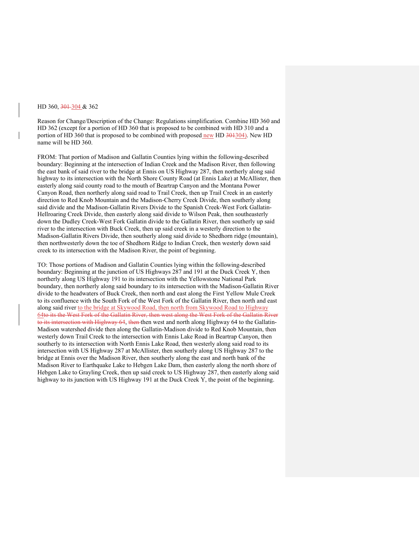#### HD 360, 301-304 & 362

Reason for Change/Description of the Change: Regulations simplification. Combine HD 360 and HD 362 (except for a portion of HD 360 that is proposed to be combined with HD 310 and a portion of HD 360 that is proposed to be combined with proposed new HD 301304). New HD name will be HD 360.

FROM: That portion of Madison and Gallatin Counties lying within the following-described boundary: Beginning at the intersection of Indian Creek and the Madison River, then following the east bank of said river to the bridge at Ennis on US Highway 287, then northerly along said highway to its intersection with the North Shore County Road (at Ennis Lake) at McAllister, then easterly along said county road to the mouth of Beartrap Canyon and the Montana Power Canyon Road, then northerly along said road to Trail Creek, then up Trail Creek in an easterly direction to Red Knob Mountain and the Madison-Cherry Creek Divide, then southerly along said divide and the Madison-Gallatin Rivers Divide to the Spanish Creek-West Fork Gallatin-Hellroaring Creek Divide, then easterly along said divide to Wilson Peak, then southeasterly down the Dudley Creek-West Fork Gallatin divide to the Gallatin River, then southerly up said river to the intersection with Buck Creek, then up said creek in a westerly direction to the Madison-Gallatin Rivers Divide, then southerly along said divide to Shedhorn ridge (mountain), then northwesterly down the toe of Shedhorn Ridge to Indian Creek, then westerly down said creek to its intersection with the Madison River, the point of beginning.

TO: Those portions of Madison and Gallatin Counties lying within the following-described boundary: Beginning at the junction of US Highways 287 and 191 at the Duck Creek Y, then northerly along US Highway 191 to its intersection with the Yellowstone National Park boundary, then northerly along said boundary to its intersection with the Madison-Gallatin River divide to the headwaters of Buck Creek, then north and east along the First Yellow Mule Creek to its confluence with the South Fork of the West Fork of the Gallatin River, then north and east along said river to the bridge at Skywood Road, then north from Skywood Road to Highway 64to its the West Fork of the Gallatin River, then west along the West Fork of the Gallatin River to its intersection with Highway 64, then then west and north along Highway 64 to the Gallatin-Madison watershed divide then along the Gallatin-Madison divide to Red Knob Mountain, then westerly down Trail Creek to the intersection with Ennis Lake Road in Beartrap Canyon, then southerly to its intersection with North Ennis Lake Road, then westerly along said road to its intersection with US Highway 287 at McAllister, then southerly along US Highway 287 to the bridge at Ennis over the Madison River, then southerly along the east and north bank of the Madison River to Earthquake Lake to Hebgen Lake Dam, then easterly along the north shore of Hebgen Lake to Grayling Creek, then up said creek to US Highway 287, then easterly along said highway to its junction with US Highway 191 at the Duck Creek Y, the point of the beginning.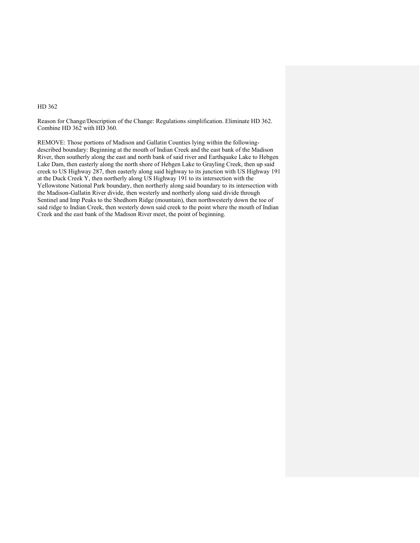Reason for Change/Description of the Change: Regulations simplification. Eliminate HD 362. Combine HD 362 with HD 360.

REMOVE: Those portions of Madison and Gallatin Counties lying within the followingdescribed boundary: Beginning at the mouth of Indian Creek and the east bank of the Madison River, then southerly along the east and north bank of said river and Earthquake Lake to Hebgen Lake Dam, then easterly along the north shore of Hebgen Lake to Grayling Creek, then up said creek to US Highway 287, then easterly along said highway to its junction with US Highway 191 at the Duck Creek Y, then northerly along US Highway 191 to its intersection with the Yellowstone National Park boundary, then northerly along said boundary to its intersection with the Madison-Gallatin River divide, then westerly and northerly along said divide through Sentinel and Imp Peaks to the Shedhorn Ridge (mountain), then northwesterly down the toe of said ridge to Indian Creek, then westerly down said creek to the point where the mouth of Indian Creek and the east bank of the Madison River meet, the point of beginning.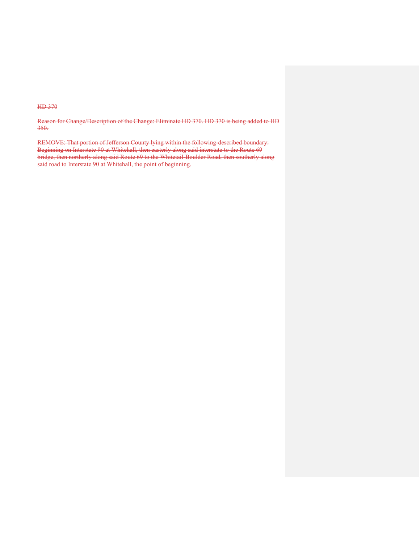Reason for Change/Description of the Change: Eliminate HD 370. HD 370 is being added to HD 350.

REMOVE: That portion of Jefferson County lying within the following-described boundary: Beginning on Interstate 90 at Whitehall, then easterly along said interstate to the Route 69 bridge, then northerly along said Route 69 to the Whitetail-Boulder Road, then southerly along said road to Interstate 90 at Whitehall, the point of beginning.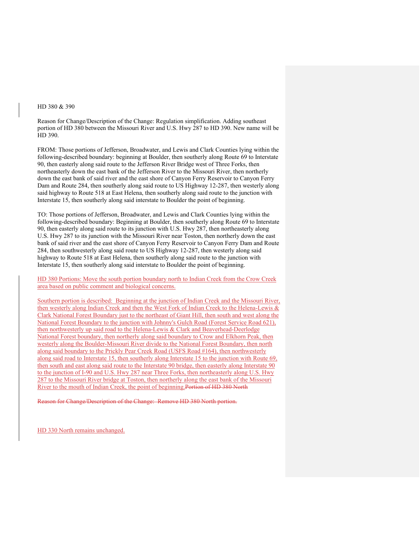# HD 380 & 390

Reason for Change/Description of the Change: Regulation simplification. Adding southeast portion of HD 380 between the Missouri River and U.S. Hwy 287 to HD 390. New name will be HD 390.

FROM: Those portions of Jefferson, Broadwater, and Lewis and Clark Counties lying within the following-described boundary: beginning at Boulder, then southerly along Route 69 to Interstate 90, then easterly along said route to the Jefferson River Bridge west of Three Forks, then northeasterly down the east bank of the Jefferson River to the Missouri River, then northerly down the east bank of said river and the east shore of Canyon Ferry Reservoir to Canyon Ferry Dam and Route 284, then southerly along said route to US Highway 12-287, then westerly along said highway to Route 518 at East Helena, then southerly along said route to the junction with Interstate 15, then southerly along said interstate to Boulder the point of beginning.

TO: Those portions of Jefferson, Broadwater, and Lewis and Clark Counties lying within the following-described boundary: Beginning at Boulder, then southerly along Route 69 to Interstate 90, then easterly along said route to its junction with U.S. Hwy 287, then northeasterly along U.S. Hwy 287 to its junction with the Missouri River near Toston, then northerly down the east bank of said river and the east shore of Canyon Ferry Reservoir to Canyon Ferry Dam and Route 284, then southwesterly along said route to US Highway 12-287, then westerly along said highway to Route 518 at East Helena, then southerly along said route to the junction with Interstate 15, then southerly along said interstate to Boulder the point of beginning.

HD 380 Portions: Move the south portion boundary north to Indian Creek from the Crow Creek area based on public comment and biological concerns.

Southern portion is described: Beginning at the junction of Indian Creek and the Missouri River, then westerly along Indian Creek and then the West Fork of Indian Creek to the Helena-Lewis & Clark National Forest Boundary just to the northeast of Giant Hill, then south and west along the National Forest Boundary to the junction with Johnny's Gulch Road (Forest Service Road 621), then northwesterly up said road to the Helena-Lewis & Clark and Beaverhead-Deerlodge National Forest boundary, then northerly along said boundary to Crow and Elkhorn Peak, then westerly along the Boulder-Missouri River divide to the National Forest Boundary, then north along said boundary to the Prickly Pear Creek Road (USFS Road #164), then northwesterly along said road to Interstate 15, then southerly along Interstate 15 to the junction with Route 69, then south and east along said route to the Interstate 90 bridge, then easterly along Interstate 90 to the junction of I-90 and U.S. Hwy 287 near Three Forks, then northeasterly along U.S. Hwy 287 to the Missouri River bridge at Toston, then northerly along the east bank of the Missouri River to the mouth of Indian Creek, the point of beginning.Portion of HD 380 North

Reason for Change/Description of the Change: Remove HD 380 North portion.

HD 330 North remains unchanged.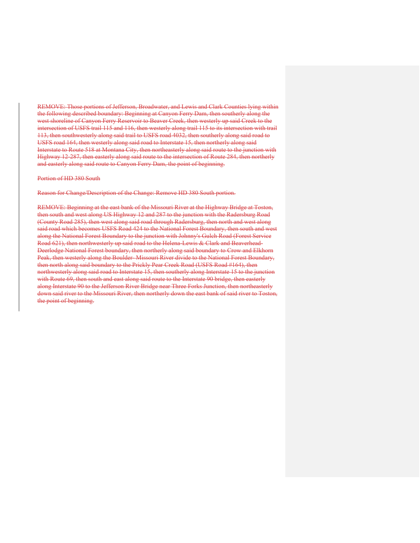REMOVE: Those portions of Jefferson, Broadwater, and Lewis and Clark Counties lying within the following described boundary: Beginning at Canyon Ferry Dam, then southerly along the west shoreline of Canyon Ferry Reservoir to Beaver Creek, then westerly up said Creek to the intersection of USFS trail 115 and 116, then westerly along trail 115 to its intersection with trail 113, then southwesterly along said trail to USFS road 4032, then southerly along said road to USFS road 164, then westerly along said road to Interstate 15, then northerly along said Interstate to Route 518 at Montana City, then northeasterly along said route to the junction with Highway 12-287, then easterly along said route to the intersection of Route 284, then northerly and easterly along said route to Canyon Ferry Dam, the point of beginning.

Portion of HD 380 South

Reason for Change/Description of the Change: Remove HD 380 South portion.

REMOVE: Beginning at the east bank of the Missouri River at the Highway Bridge at Toston, then south and west along US Highway 12 and 287 to the junction with the Radersburg Road (County Road 285), then west along said road through Radersburg, then north and west along said road which becomes USFS Road 424 to the National Forest Boundary, then south and west along the National Forest Boundary to the junction with Johnny's Gulch Road (Forest Service Road 621), then northwesterly up said road to the Helena-Lewis & Clark and Beaverhead-Deerlodge National Forest boundary, then northerly along said boundary to Crow and Elkhorn Peak, then westerly along the Boulder-Missouri River divide to the National Forest Boundary, then north along said boundary to the Prickly Pear Creek Road (USFS Road #164), then northwesterly along said road to Interstate 15, then southerly along Interstate 15 to the junction with Route 69, then south and east along said route to the Interstate 90 bridge, then easterly along Interstate 90 to the Jefferson River Bridge near Three Forks Junction, then northeasterly down said river to the Missouri River, then northerly down the east bank of said river to Toston, the point of beginning.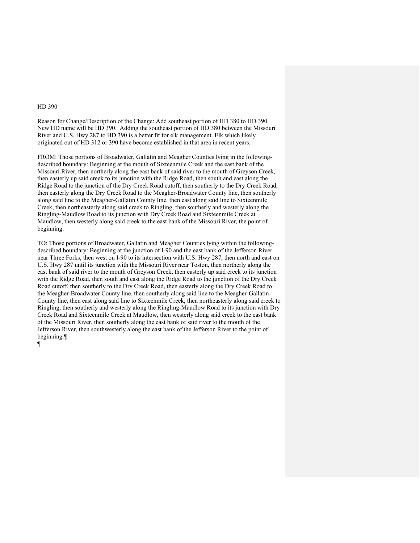Reason for Change/Description of the Change: Add southeast portion of HD 380 to HD 390. New HD name will be HD 390. Adding the southeast portion of HD 380 between the Missouri River and U.S. Hwy 287 to HD 390 is a better fit for elk management. Elk which likely originated out of HD 312 or 390 have become established in that area in recent years.

FROM: Those portions of Broadwater, Gallatin and Meagher Counties lying in the followingdescribed boundary: Beginning at the mouth of Sixteenmile Creek and the east bank of the Missouri River, then northerly along the east bank of said river to the mouth of Greyson Creek, then easterly up said creek to its junction with the Ridge Road, then south and east along the Ridge Road to the junction of the Dry Creek Road cutoff, then southerly to the Dry Creek Road, then easterly along the Dry Creek Road to the Meagher-Broadwater County line, then southerly along said line to the Meagher-Gallatin County line, then east along said line to Sixteenmile Creek, then northeasterly along said creek to Ringling, then southerly and westerly along the Ringling-Maudlow Road to its junction with Dry Creek Road and Sixteenmile Creek at Maudlow, then westerly along said creek to the east bank of the Missouri River, the point of beginning.

TO: Those portions of Broadwater, Gallatin and Meagher Counties lying within the followingdescribed boundary: Beginning at the junction of I-90 and the east bank of the Jefferson River near Three Forks, then west on I-90 to its intersection with U.S. Hwy 287, then north and east on U.S. Hwy 287 until its junction with the Missouri River near Toston, then northerly along the east bank of said river to the mouth of Greyson Creek, then easterly up said creek to its junction with the Ridge Road, then south and east along the Ridge Road to the junction of the Dry Creek Road cutoff, then southerly to the Dry Creek Road, then easterly along the Dry Creek Road to the Meagher-Broadwater County line, then southerly along said line to the Meagher-Gallatin County line, then east along said line to Sixteenmile Creek, then northeasterly along said creek to Ringling, then southerly and westerly along the Ringling-Maudlow Road to its junction with Dry Creek Road and Sixteenmile Creek at Maudlow, then westerly along said creek to the east bank of the Missouri River, then southerly along the east bank of said river to the mouth of the Jefferson River, then southwesterly along the east bank of the Jefferson River to the point of beginning.¶

¶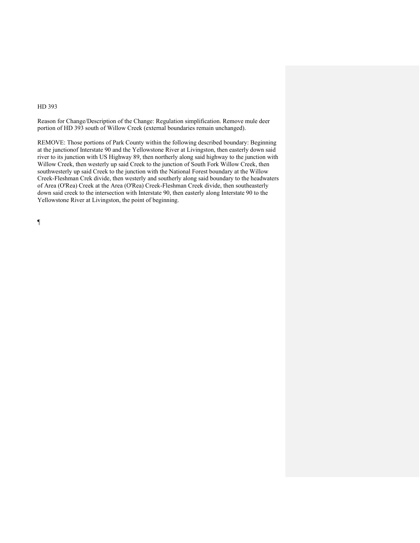Reason for Change/Description of the Change: Regulation simplification. Remove mule deer portion of HD 393 south of Willow Creek (external boundaries remain unchanged).

REMOVE: Those portions of Park County within the following described boundary: Beginning at the junctionof Interstate 90 and the Yellowstone River at Livingston, then easterly down said river to its junction with US Highway 89, then northerly along said highway to the junction with Willow Creek, then westerly up said Creek to the junction of South Fork Willow Creek, then southwesterly up said Creek to the junction with the National Forest boundary at the Willow Creek-Fleshman Crek divide, then westerly and southerly along said boundary to the headwaters of Area (O'Rea) Creek at the Area (O'Rea) Creek-Fleshman Creek divide, then southeasterly down said creek to the intersection with Interstate 90, then easterly along Interstate 90 to the Yellowstone River at Livingston, the point of beginning.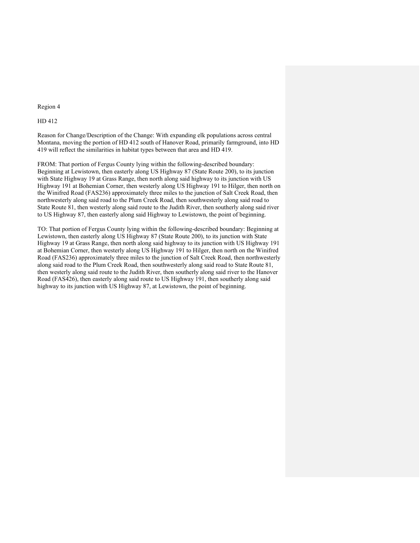#### Region 4

## HD 412

Reason for Change/Description of the Change: With expanding elk populations across central Montana, moving the portion of HD 412 south of Hanover Road, primarily farmground, into HD 419 will reflect the similarities in habitat types between that area and HD 419.

FROM: That portion of Fergus County lying within the following-described boundary: Beginning at Lewistown, then easterly along US Highway 87 (State Route 200), to its junction with State Highway 19 at Grass Range, then north along said highway to its junction with US Highway 191 at Bohemian Corner, then westerly along US Highway 191 to Hilger, then north on the Winifred Road (FAS236) approximately three miles to the junction of Salt Creek Road, then northwesterly along said road to the Plum Creek Road, then southwesterly along said road to State Route 81, then westerly along said route to the Judith River, then southerly along said river to US Highway 87, then easterly along said Highway to Lewistown, the point of beginning.

TO: That portion of Fergus County lying within the following-described boundary: Beginning at Lewistown, then easterly along US Highway 87 (State Route 200), to its junction with State Highway 19 at Grass Range, then north along said highway to its junction with US Highway 191 at Bohemian Corner, then westerly along US Highway 191 to Hilger, then north on the Winifred Road (FAS236) approximately three miles to the junction of Salt Creek Road, then northwesterly along said road to the Plum Creek Road, then southwesterly along said road to State Route 81, then westerly along said route to the Judith River, then southerly along said river to the Hanover Road (FAS426), then easterly along said route to US Highway 191, then southerly along said highway to its junction with US Highway 87, at Lewistown, the point of beginning.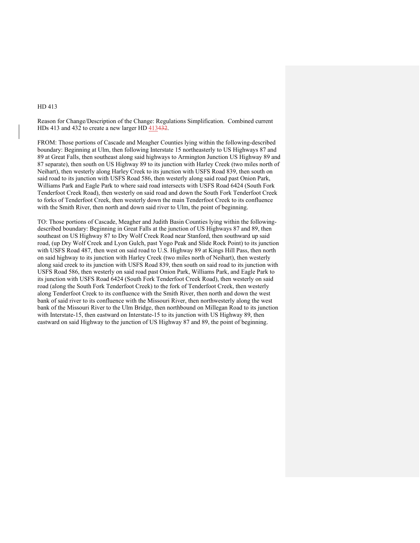Reason for Change/Description of the Change: Regulations Simplification. Combined current HDs 413 and 432 to create a new larger HD 413432.

FROM: Those portions of Cascade and Meagher Counties lying within the following-described boundary: Beginning at Ulm, then following Interstate 15 northeasterly to US Highways 87 and 89 at Great Falls, then southeast along said highways to Armington Junction US Highway 89 and 87 separate), then south on US Highway 89 to its junction with Harley Creek (two miles north of Neihart), then westerly along Harley Creek to its junction with USFS Road 839, then south on said road to its junction with USFS Road 586, then westerly along said road past Onion Park, Williams Park and Eagle Park to where said road intersects with USFS Road 6424 (South Fork Tenderfoot Creek Road), then westerly on said road and down the South Fork Tenderfoot Creek to forks of Tenderfoot Creek, then westerly down the main Tenderfoot Creek to its confluence with the Smith River, then north and down said river to Ulm, the point of beginning.

TO: Those portions of Cascade, Meagher and Judith Basin Counties lying within the followingdescribed boundary: Beginning in Great Falls at the junction of US Highways 87 and 89, then southeast on US Highway 87 to Dry Wolf Creek Road near Stanford, then southward up said road, (up Dry Wolf Creek and Lyon Gulch, past Yogo Peak and Slide Rock Point) to its junction with USFS Road 487, then west on said road to U.S. Highway 89 at Kings Hill Pass, then north on said highway to its junction with Harley Creek (two miles north of Neihart), then westerly along said creek to its junction with USFS Road 839, then south on said road to its junction with USFS Road 586, then westerly on said road past Onion Park, Williams Park, and Eagle Park to its junction with USFS Road 6424 (South Fork Tenderfoot Creek Road), then westerly on said road (along the South Fork Tenderfoot Creek) to the fork of Tenderfoot Creek, then westerly along Tenderfoot Creek to its confluence with the Smith River, then north and down the west bank of said river to its confluence with the Missouri River, then northwesterly along the west bank of the Missouri River to the Ulm Bridge, then northbound on Millegan Road to its junction with Interstate-15, then eastward on Interstate-15 to its junction with US Highway 89, then eastward on said Highway to the junction of US Highway 87 and 89, the point of beginning.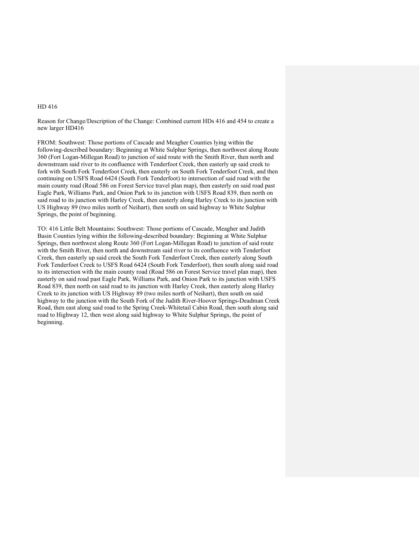Reason for Change/Description of the Change: Combined current HDs 416 and 454 to create a new larger HD416

FROM: Southwest: Those portions of Cascade and Meagher Counties lying within the following-described boundary: Beginning at White Sulphur Springs, then northwest along Route 360 (Fort Logan-Millegan Road) to junction of said route with the Smith River, then north and downstream said river to its confluence with Tenderfoot Creek, then easterly up said creek to fork with South Fork Tenderfoot Creek, then easterly on South Fork Tenderfoot Creek, and then continuing on USFS Road 6424 (South Fork Tenderfoot) to intersection of said road with the main county road (Road 586 on Forest Service travel plan map), then easterly on said road past Eagle Park, Williams Park, and Onion Park to its junction with USFS Road 839, then north on said road to its junction with Harley Creek, then easterly along Harley Creek to its junction with US Highway 89 (two miles north of Neihart), then south on said highway to White Sulphur Springs, the point of beginning.

TO: 416 Little Belt Mountains: Southwest: Those portions of Cascade, Meagher and Judith Basin Counties lying within the following-described boundary: Beginning at White Sulphur Springs, then northwest along Route 360 (Fort Logan-Millegan Road) to junction of said route with the Smith River, then north and downstream said river to its confluence with Tenderfoot Creek, then easterly up said creek the South Fork Tenderfoot Creek, then easterly along South Fork Tenderfoot Creek to USFS Road 6424 (South Fork Tenderfoot), then south along said road to its intersection with the main county road (Road 586 on Forest Service travel plan map), then easterly on said road past Eagle Park, Williams Park, and Onion Park to its junction with USFS Road 839, then north on said road to its junction with Harley Creek, then easterly along Harley Creek to its junction with US Highway 89 (two miles north of Neihart), then south on said highway to the junction with the South Fork of the Judith River-Hoover Springs-Deadman Creek Road, then east along said road to the Spring Creek-Whitetail Cabin Road, then south along said road to Highway 12, then west along said highway to White Sulphur Springs, the point of beginning.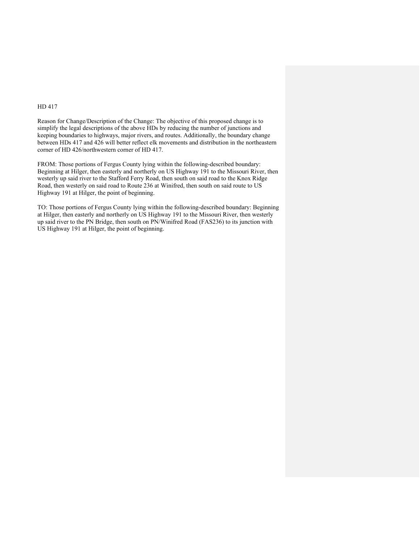Reason for Change/Description of the Change: The objective of this proposed change is to simplify the legal descriptions of the above HDs by reducing the number of junctions and keeping boundaries to highways, major rivers, and routes. Additionally, the boundary change between HDs 417 and 426 will better reflect elk movements and distribution in the northeastern corner of HD 426/northwestern corner of HD 417.

FROM: Those portions of Fergus County lying within the following-described boundary: Beginning at Hilger, then easterly and northerly on US Highway 191 to the Missouri River, then westerly up said river to the Stafford Ferry Road, then south on said road to the Knox Ridge Road, then westerly on said road to Route 236 at Winifred, then south on said route to US Highway 191 at Hilger, the point of beginning.

TO: Those portions of Fergus County lying within the following-described boundary: Beginning at Hilger, then easterly and northerly on US Highway 191 to the Missouri River, then westerly up said river to the PN Bridge, then south on PN/Winifred Road (FAS236) to its junction with US Highway 191 at Hilger, the point of beginning.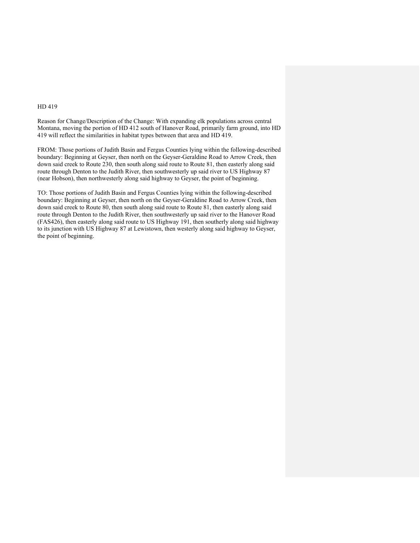Reason for Change/Description of the Change: With expanding elk populations across central Montana, moving the portion of HD 412 south of Hanover Road, primarily farm ground, into HD 419 will reflect the similarities in habitat types between that area and HD 419.

FROM: Those portions of Judith Basin and Fergus Counties lying within the following-described boundary: Beginning at Geyser, then north on the Geyser-Geraldine Road to Arrow Creek, then down said creek to Route 230, then south along said route to Route 81, then easterly along said route through Denton to the Judith River, then southwesterly up said river to US Highway 87 (near Hobson), then northwesterly along said highway to Geyser, the point of beginning.

TO: Those portions of Judith Basin and Fergus Counties lying within the following-described boundary: Beginning at Geyser, then north on the Geyser-Geraldine Road to Arrow Creek, then down said creek to Route 80, then south along said route to Route 81, then easterly along said route through Denton to the Judith River, then southwesterly up said river to the Hanover Road (FAS426), then easterly along said route to US Highway 191, then southerly along said highway to its junction with US Highway 87 at Lewistown, then westerly along said highway to Geyser, the point of beginning.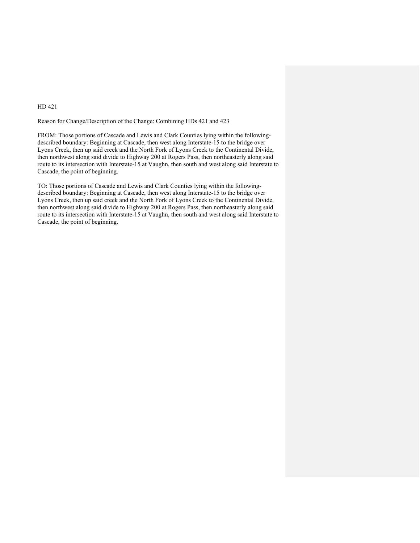#### Reason for Change/Description of the Change: Combining HDs 421 and 423

FROM: Those portions of Cascade and Lewis and Clark Counties lying within the followingdescribed boundary: Beginning at Cascade, then west along Interstate-15 to the bridge over Lyons Creek, then up said creek and the North Fork of Lyons Creek to the Continental Divide, then northwest along said divide to Highway 200 at Rogers Pass, then northeasterly along said route to its intersection with Interstate-15 at Vaughn, then south and west along said Interstate to Cascade, the point of beginning.

TO: Those portions of Cascade and Lewis and Clark Counties lying within the followingdescribed boundary: Beginning at Cascade, then west along Interstate-15 to the bridge over Lyons Creek, then up said creek and the North Fork of Lyons Creek to the Continental Divide, then northwest along said divide to Highway 200 at Rogers Pass, then northeasterly along said route to its intersection with Interstate-15 at Vaughn, then south and west along said Interstate to Cascade, the point of beginning.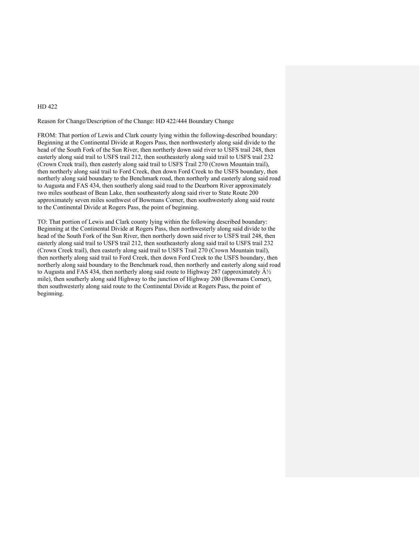### Reason for Change/Description of the Change: HD 422/444 Boundary Change

FROM: That portion of Lewis and Clark county lying within the following-described boundary: Beginning at the Continental Divide at Rogers Pass, then northwesterly along said divide to the head of the South Fork of the Sun River, then northerly down said river to USFS trail 248, then easterly along said trail to USFS trail 212, then southeasterly along said trail to USFS trail 232 (Crown Creek trail), then easterly along said trail to USFS Trail 270 (Crown Mountain trail), then northerly along said trail to Ford Creek, then down Ford Creek to the USFS boundary, then northerly along said boundary to the Benchmark road, then northerly and easterly along said road to Augusta and FAS 434, then southerly along said road to the Dearborn River approximately two miles southeast of Bean Lake, then southeasterly along said river to State Route 200 approximately seven miles southwest of Bowmans Corner, then southwesterly along said route to the Continental Divide at Rogers Pass, the point of beginning.

TO: That portion of Lewis and Clark county lying within the following described boundary: Beginning at the Continental Divide at Rogers Pass, then northwesterly along said divide to the head of the South Fork of the Sun River, then northerly down said river to USFS trail 248, then easterly along said trail to USFS trail 212, then southeasterly along said trail to USFS trail 232 (Crown Creek trail), then easterly along said trail to USFS Trail 270 (Crown Mountain trail), then northerly along said trail to Ford Creek, then down Ford Creek to the USFS boundary, then northerly along said boundary to the Benchmark road, then northerly and easterly along said road to Augusta and FAS 434, then northerly along said route to Highway 287 (approximately  $\hat{A}\frac{1}{2}$ mile), then southerly along said Highway to the junction of Highway 200 (Bowmans Corner), then southwesterly along said route to the Continental Divide at Rogers Pass, the point of beginning.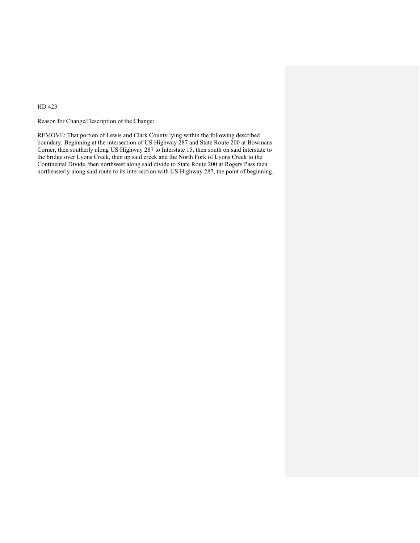Reason for Change/Description of the Change:

REMOVE: That portion of Lewis and Clark County lying within the following described boundary: Beginning at the intersection of US Highway 287 and State Route 200 at Bowmans Corner, then southerly along US Highway 287 to Interstate 15, then south on said interstate to the bridge over Lyons Creek, then up said creek and the North Fork of Lyons Creek to the Continental Divide, then northwest along said divide to State Route 200 at Rogers Pass then northeasterly along said route to its intersection with US Highway 287, the point of beginning.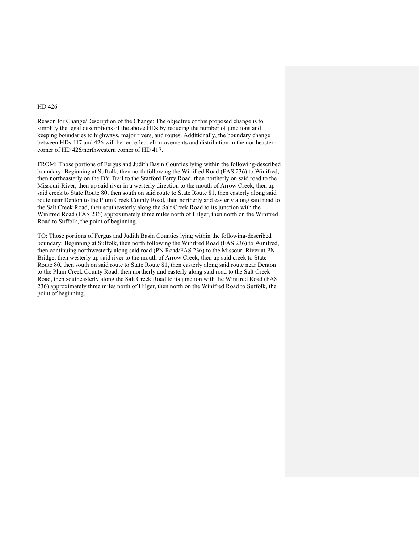Reason for Change/Description of the Change: The objective of this proposed change is to simplify the legal descriptions of the above HDs by reducing the number of junctions and keeping boundaries to highways, major rivers, and routes. Additionally, the boundary change between HDs 417 and 426 will better reflect elk movements and distribution in the northeastern corner of HD 426/northwestern corner of HD 417.

FROM: Those portions of Fergus and Judith Basin Counties lying within the following-described boundary: Beginning at Suffolk, then north following the Winifred Road (FAS 236) to Winifred, then northeasterly on the DY Trail to the Stafford Ferry Road, then northerly on said road to the Missouri River, then up said river in a westerly direction to the mouth of Arrow Creek, then up said creek to State Route 80, then south on said route to State Route 81, then easterly along said route near Denton to the Plum Creek County Road, then northerly and easterly along said road to the Salt Creek Road, then southeasterly along the Salt Creek Road to its junction with the Winifred Road (FAS 236) approximately three miles north of Hilger, then north on the Winifred Road to Suffolk, the point of beginning.

TO: Those portions of Fergus and Judith Basin Counties lying within the following-described boundary: Beginning at Suffolk, then north following the Winifred Road (FAS 236) to Winifred, then continuing northwesterly along said road (PN Road/FAS 236) to the Missouri River at PN Bridge, then westerly up said river to the mouth of Arrow Creek, then up said creek to State Route 80, then south on said route to State Route 81, then easterly along said route near Denton to the Plum Creek County Road, then northerly and easterly along said road to the Salt Creek Road, then southeasterly along the Salt Creek Road to its junction with the Winifred Road (FAS 236) approximately three miles north of Hilger, then north on the Winifred Road to Suffolk, the point of beginning.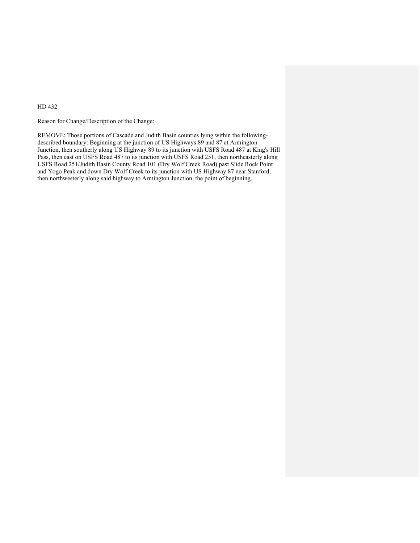Reason for Change/Description of the Change:

REMOVE: Those portions of Cascade and Judith Basin counties lying within the followingdescribed boundary: Beginning at the junction of US Highways 89 and 87 at Armington Junction, then southerly along US Highway 89 to its junction with USFS Road 487 at King's Hill Pass, then east on USFS Road 487 to its junction with USFS Road 251, then northeasterly along USFS Road 251/Judith Basin County Road 101 (Dry Wolf Creek Road) past Slide Rock Point and Yogo Peak and down Dry Wolf Creek to its junction with US Highway 87 near Stanford, then northwesterly along said highway to Armington Junction, the point of beginning.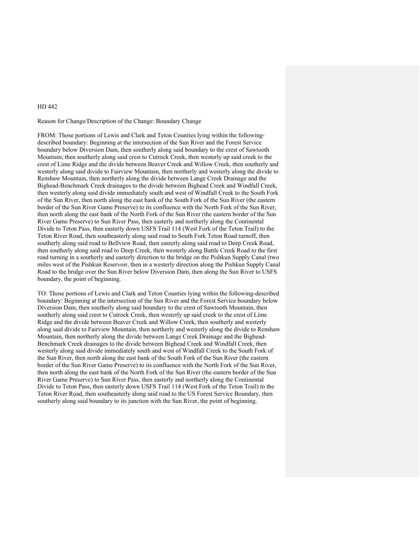## Reason for Change/Description of the Change: Boundary Change

FROM: Those portions of Lewis and Clark and Teton Counties lying within the followingdescribed boundary: Beginning at the intersection of the Sun River and the Forest Service boundary below Diversion Dam, then southerly along said boundary to the crest of Sawtooth Mountain, then southerly along said crest to Cutrock Creek, then westerly up said creek to the crest of Lime Ridge and the divide between Beaver Creek and Willow Creek, then southerly and westerly along said divide to Fairview Mountain, then northerly and westerly along the divide to Renshaw Mountain, then northerly along the divide between Lange Creek Drainage and the Bighead-Benchmark Creek drainages to the divide between Bighead Creek and Windfall Creek, then westerly along said divide immediately south and west of Windfall Creek to the South Fork of the Sun River, then north along the east bank of the South Fork of the Sun River (the eastern border of the Sun River Game Preserve) to its confluence with the North Fork of the Sun River, then north along the east bank of the North Fork of the Sun River (the eastern border of the Sun River Game Preserve) to Sun River Pass, then easterly and northerly along the Continental Divide to Teton Pass, then easterly down USFS Trail 114 (West Fork of the Teton Trail) to the Teton River Road, then southeasterly along said road to South Fork Teton Road turnoff, then southerly along said road to Bellview Road, then easterly along said road to Deep Creek Road, then southerly along said road to Deep Creek, then westerly along Battle Creek Road to the first road turning in a southerly and easterly direction to the bridge on the Pishkun Supply Canal (two miles west of the Pishkun Reservoir, then in a westerly direction along the Pishkun Supply Canal Road to the bridge over the Sun River below Diversion Dam, then along the Sun River to USFS boundary, the point of beginning.

TO: Those portions of Lewis and Clark and Teton Counties lying within the following-described boundary: Beginning at the intersection of the Sun River and the Forest Service boundary below Diversion Dam, then southerly along said boundary to the crest of Sawtooth Mountain, then southerly along said crest to Cutrock Creek, then westerly up said creek to the crest of Lime Ridge and the divide between Beaver Creek and Willow Creek, then southerly and westerly along said divide to Fairview Mountain, then northerly and westerly along the divide to Renshaw Mountain, then northerly along the divide between Lange Creek Drainage and the Bighead-Benchmark Creek drainages to the divide between Bighead Creek and Windfall Creek, then westerly along said divide immediately south and west of Windfall Creek to the South Fork of the Sun River, then north along the east bank of the South Fork of the Sun River (the eastern border of the Sun River Game Preserve) to its confluence with the North Fork of the Sun River, then north along the east bank of the North Fork of the Sun River (the eastern border of the Sun River Game Preserve) to Sun River Pass, then easterly and northerly along the Continental Divide to Teton Pass, then easterly down USFS Trail 114 (West Fork of the Teton Trail) to the Teton River Road, then southeasterly along said road to the US Forest Service Boundary, then southerly along said boundary to its junction with the Sun River, the point of beginning.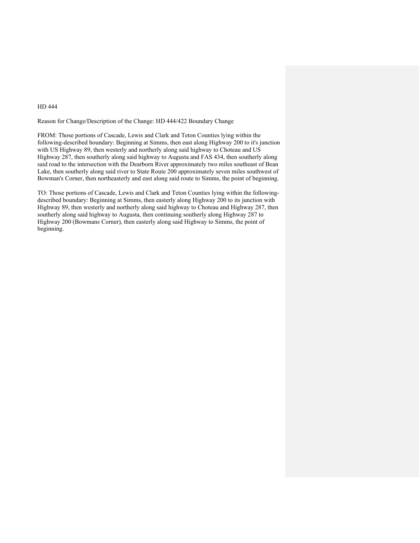Reason for Change/Description of the Change: HD 444/422 Boundary Change

FROM: Those portions of Cascade, Lewis and Clark and Teton Counties lying within the following-described boundary: Beginning at Simms, then east along Highway 200 to it's junction with US Highway 89, then westerly and northerly along said highway to Choteau and US Highway 287, then southerly along said highway to Augusta and FAS 434, then southerly along said road to the intersection with the Dearborn River approximately two miles southeast of Bean Lake, then southerly along said river to State Route  $200$  approximately seven miles southwest of Bowman's Corner, then northeasterly and east along said route to Simms, the point of beginning.

TO: Those portions of Cascade, Lewis and Clark and Teton Counties lying within the followingdescribed boundary: Beginning at Simms, then easterly along Highway 200 to its junction with Highway 89, then westerly and northerly along said highway to Choteau and Highway 287, then southerly along said highway to Augusta, then continuing southerly along Highway 287 to Highway 200 (Bowmans Corner), then easterly along said Highway to Simms, the point of beginning.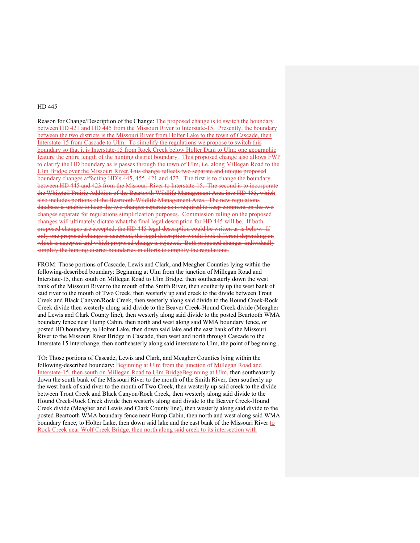Reason for Change/Description of the Change: The proposed change is to switch the boundary between HD 421 and HD 445 from the Missouri River to Interstate-15. Presently, the boundary between the two districts is the Missouri River from Holter Lake to the town of Cascade, then Interstate-15 from Cascade to Ulm. To simplify the regulations we propose to switch this boundary so that it is Interstate-15 from Rock Creek below Holter Dam to Ulm; one geographic feature the entire length of the hunting district boundary. This proposed change also allows FWP to clarify the HD boundary as is passes through the town of Ulm, i.e. along Millegan Road to the Ulm Bridge over the Missouri River.This change reflects two separate and unique proposed boundary changes affecting HD's 445, 455, 421 and 423. The first is to change the boundary between HD 445 and 423 from the Missouri River to Interstate-15. The second is to incorporate the Whitetail Prairie Addition of the Beartooth Wildlife Management Area into HD 455, which also includes portions of the Beartooth Wildlife Management Area. The new regulations database is unable to keep the two changes separate as is required to keep comment on the two changes separate for regulations simplification purposes. Commission ruling on the proposed changes will ultimately dictate what the final legal description for HD 445 will be. If both proposed changes are accepted, the HD 445 legal description could be written as is below. If only one proposed change is accepted, the legal description would look different depending on which is accepted and which proposed change is rejected. Both proposed changes individually simplify the hunting district boundaries in efforts to simplify the regulations.

FROM: Those portions of Cascade, Lewis and Clark, and Meagher Counties lying within the following-described boundary: Beginning at Ulm from the junction of Millegan Road and Interstate-15, then south on Millegan Road to Ulm Bridge, then southeasterly down the west bank of the Missouri River to the mouth of the Smith River, then southerly up the west bank of said river to the mouth of Two Creek, then westerly up said creek to the divide between Trout Creek and Black Canyon/Rock Creek, then westerly along said divide to the Hound Creek-Rock Creek divide then westerly along said divide to the Beaver Creek-Hound Creek divide (Meagher and Lewis and Clark County line), then westerly along said divide to the posted Beartooth WMA boundary fence near Hump Cabin, then north and west along said WMA boundary fence, or posted HD boundary, to Holter Lake, then down said lake and the east bank of the Missouri River to the Missouri River Bridge in Cascade, then west and north through Cascade to the Interstate 15 interchange, then northeasterly along said interstate to Ulm, the point of beginning..

TO: Those portions of Cascade, Lewis and Clark, and Meagher Counties lying within the following-described boundary: Beginning at Ulm from the junction of Millegan Road and Interstate-15, then south on Millegan Road to Ulm BridgeBeginning at Ulm, then southeasterly down the south bank of the Missouri River to the mouth of the Smith River, then southerly up the west bank of said river to the mouth of Two Creek, then westerly up said creek to the divide between Trout Creek and Black Canyon/Rock Creek, then westerly along said divide to the Hound Creek-Rock Creek divide then westerly along said divide to the Beaver Creek-Hound Creek divide (Meagher and Lewis and Clark County line), then westerly along said divide to the posted Beartooth WMA boundary fence near Hump Cabin, then north and west along said WMA boundary fence, to Holter Lake, then down said lake and the east bank of the Missouri River to Rock Creek near Wolf Creek Bridge, then north along said creek to its intersection with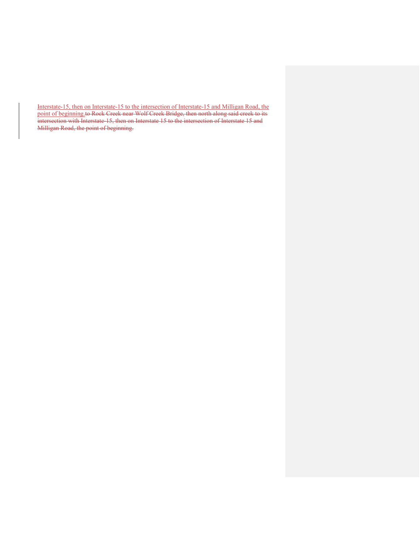Interstate-15, then on Interstate-15 to the intersection of Interstate-15 and Milligan Road, the point of beginning to Rock Creek near Wolf Creek Bridge, then north along said creek to its intersection with Interstate-15, then on Interstate 15 to the intersection of Interstate 15 and Milligan Road, the point of beginning.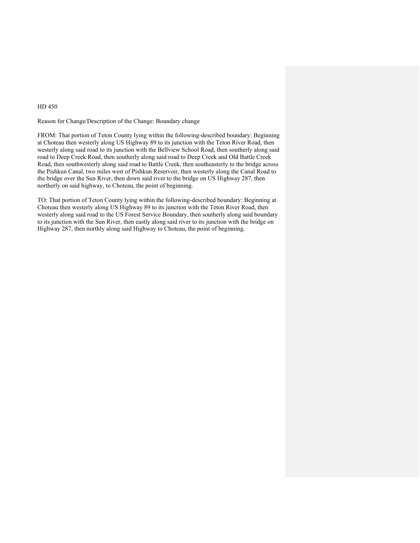Reason for Change/Description of the Change: Boundary change

FROM: That portion of Teton County lying within the following-described boundary: Beginning at Choteau then westerly along US Highway 89 to its junction with the Teton River Road, then westerly along said road to its junction with the Bellview School Road, then southerly along said road to Deep Creek Road, then southerly along said road to Deep Creek and Old Battle Creek Road, then southwesterly along said road to Battle Creek, then southeasterly to the bridge across the Pishkun Canal, two miles west of Pishkun Reservoir, then westerly along the Canal Road to the bridge over the Sun River, then down said river to the bridge on US Highway 287, then northerly on said highway, to Choteau, the point of beginning.

TO: That portion of Teton County lying within the following-described boundary: Beginning at Choteau then westerly along US Highway 89 to its junction with the Teton River Road, then westerly along said road to the US Forest Service Boundary, then southerly along said boundary to its junction with the Sun River, then eastly along said river to its junction with the bridge on Highway 287, then northly along said Highway to Choteau, the point of beginning.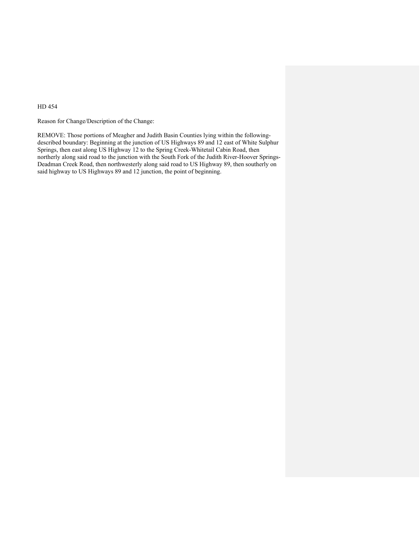Reason for Change/Description of the Change:

REMOVE: Those portions of Meagher and Judith Basin Counties lying within the followingdescribed boundary: Beginning at the junction of US Highways 89 and 12 east of White Sulphur Springs, then east along US Highway 12 to the Spring Creek-Whitetail Cabin Road, then northerly along said road to the junction with the South Fork of the Judith River-Hoover Springs-Deadman Creek Road, then northwesterly along said road to US Highway 89, then southerly on said highway to US Highways 89 and 12 junction, the point of beginning.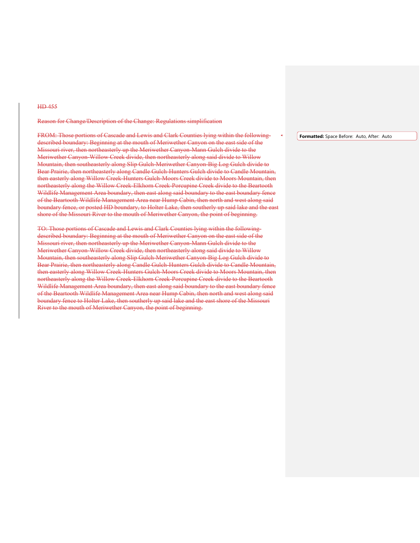#### Reason for Change/Description of the Change: Regulations simplification

FROM: Those portions of Cascade and Lewis and Clark Counties lying within the followingdescribed boundary: Beginning at the mouth of Meriwether Canyon on the east side of the Missouri river, then northeasterly up the Meriwether Canyon-Mann Gulch divide to the Meriwether Canyon-Willow Creek divide, then northeasterly along said divide to Willow Mountain, then southeasterly along Slip Gulch-Meriwether Canyon-Big Log Gulch divide to Bear Prairie, then northeasterly along Candle Gulch-Hunters Gulch divide to Candle Mountain, then easterly along Willow Creek-Hunters Gulch-Moors Creek divide to Moors Mountain, then northeasterly along the Willow Creek-Elkhorn Creek-Porcupine Creek divide to the Beartooth Wildlife Management Area boundary, then east along said boundary to the east boundary fence of the Beartooth Wildlife Management Area near Hump Cabin, then north and west along said boundary fence, or posted HD boundary, to Holter Lake, then southerly up said lake and the east shore of the Missouri River to the mouth of Meriwether Canyon, the point of beginning.

TO: Those portions of Cascade and Lewis and Clark Counties lying within the followingdescribed boundary: Beginning at the mouth of Meriwether Canyon on the east side of the Missouri river, then northeasterly up the Meriwether Canyon-Mann Gulch divide to the Meriwether Canyon-Willow Creek divide, then northeasterly along said divide to Willow Mountain, then southeasterly along Slip Gulch-Meriwether Canyon-Big Log Gulch divide to Bear Prairie, then northeasterly along Candle Gulch-Hunters Gulch divide to Candle Mountain, then easterly along Willow Creek-Hunters Gulch-Moors Creek divide to Moors Mountain, then northeasterly along the Willow Creek-Elkhorn Creek-Porcupine Creek divide to the Beartooth Wildlife Management Area boundary, then east along said boundary to the east boundary fence of the Beartooth Wildlife Management Area near Hump Cabin, then north and west along said boundary fence to Holter Lake, then southerly up said lake and the east shore of the Missouri River to the mouth of Meriwether Canyon, the point of beginning.

**Formatted:** Space Before: Auto, After: Auto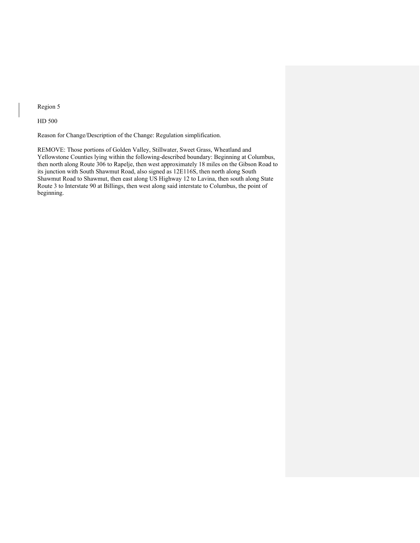Region 5

HD 500

Reason for Change/Description of the Change: Regulation simplification.

REMOVE: Those portions of Golden Valley, Stillwater, Sweet Grass, Wheatland and Yellowstone Counties lying within the following-described boundary: Beginning at Columbus, then north along Route 306 to Rapelje, then west approximately 18 miles on the Gibson Road to its junction with South Shawmut Road, also signed as 12E116S, then north along South Shawmut Road to Shawmut, then east along US Highway 12 to Lavina, then south along State Route 3 to Interstate 90 at Billings, then west along said interstate to Columbus, the point of beginning.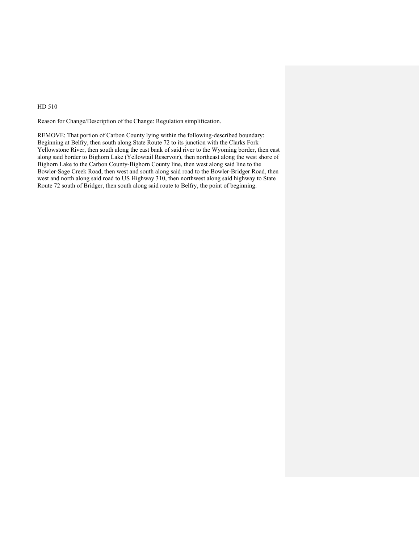Reason for Change/Description of the Change: Regulation simplification.

REMOVE: That portion of Carbon County lying within the following-described boundary: Beginning at Belfry, then south along State Route 72 to its junction with the Clarks Fork Yellowstone River, then south along the east bank of said river to the Wyoming border, then east along said border to Bighorn Lake (Yellowtail Reservoir), then northeast along the west shore of Bighorn Lake to the Carbon County-Bighorn County line, then west along said line to the Bowler-Sage Creek Road, then west and south along said road to the Bowler-Bridger Road, then west and north along said road to US Highway 310, then northwest along said highway to State Route 72 south of Bridger, then south along said route to Belfry, the point of beginning.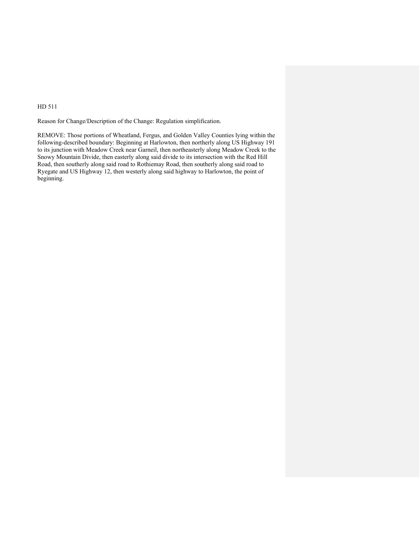Reason for Change/Description of the Change: Regulation simplification.

REMOVE: Those portions of Wheatland, Fergus, and Golden Valley Counties lying within the following-described boundary: Beginning at Harlowton, then northerly along US Highway 191 to its junction with Meadow Creek near Garneil, then northeasterly along Meadow Creek to the Snowy Mountain Divide, then easterly along said divide to its intersection with the Red Hill Road, then southerly along said road to Rothiemay Road, then southerly along said road to Ryegate and US Highway 12, then westerly along said highway to Harlowton, the point of beginning.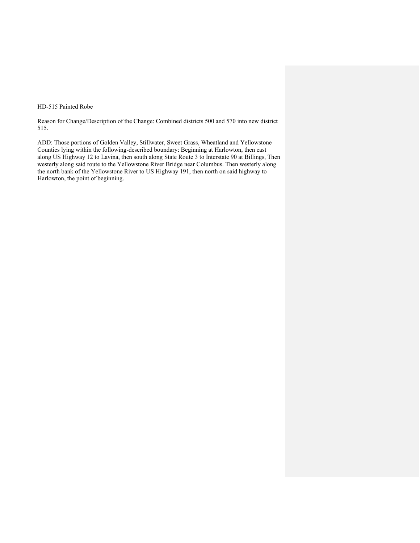#### HD-515 Painted Robe

Reason for Change/Description of the Change: Combined districts 500 and 570 into new district 515.

ADD: Those portions of Golden Valley, Stillwater, Sweet Grass, Wheatland and Yellowstone Counties lying within the following-described boundary: Beginning at Harlowton, then east along US Highway 12 to Lavina, then south along State Route 3 to Interstate 90 at Billings, Then westerly along said route to the Yellowstone River Bridge near Columbus. Then westerly along the north bank of the Yellowstone River to US Highway 191, then north on said highway to Harlowton, the point of beginning.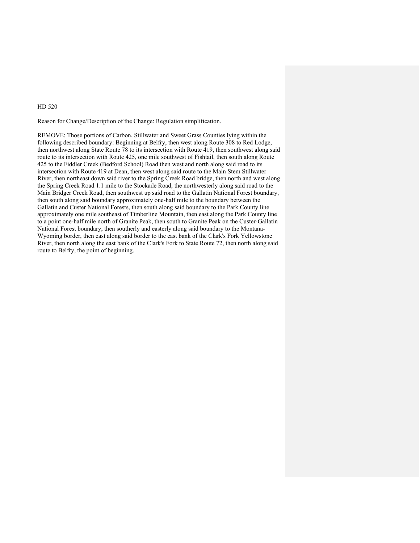Reason for Change/Description of the Change: Regulation simplification.

REMOVE: Those portions of Carbon, Stillwater and Sweet Grass Counties lying within the following described boundary: Beginning at Belfry, then west along Route 308 to Red Lodge, then northwest along State Route 78 to its intersection with Route 419, then southwest along said route to its intersection with Route 425, one mile southwest of Fishtail, then south along Route 425 to the Fiddler Creek (Bedford School) Road then west and north along said road to its intersection with Route 419 at Dean, then west along said route to the Main Stem Stillwater River, then northeast down said river to the Spring Creek Road bridge, then north and west along the Spring Creek Road 1.1 mile to the Stockade Road, the northwesterly along said road to the Main Bridger Creek Road, then southwest up said road to the Gallatin National Forest boundary, then south along said boundary approximately one-half mile to the boundary between the Gallatin and Custer National Forests, then south along said boundary to the Park County line approximately one mile southeast of Timberline Mountain, then east along the Park County line to a point one-half mile north of Granite Peak, then south to Granite Peak on the Custer-Gallatin National Forest boundary, then southerly and easterly along said boundary to the Montana-Wyoming border, then east along said border to the east bank of the Clark's Fork Yellowstone River, then north along the east bank of the Clark's Fork to State Route 72, then north along said route to Belfry, the point of beginning.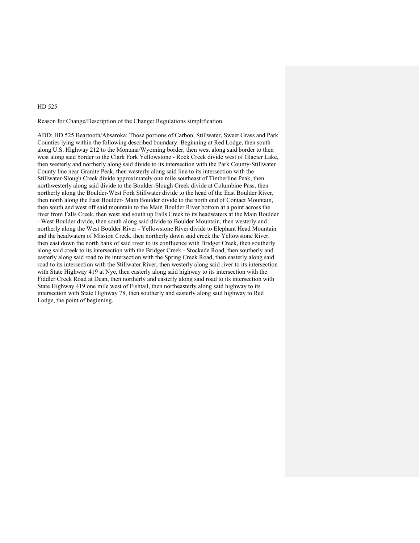Reason for Change/Description of the Change: Regulations simplification.

ADD: HD 525 Beartooth/Absaroka: Those portions of Carbon, Stillwater, Sweet Grass and Park Counties lying within the following described boundary: Beginning at Red Lodge, then south along U.S. Highway 212 to the Montana/Wyoming border, then west along said border to then west along said border to the Clark Fork Yellowstone - Rock Creek divide west of Glacier Lake, then westerly and northerly along said divide to its intersection with the Park County-Stillwater County line near Granite Peak, then westerly along said line to its intersection with the Stillwater-Slough Creek divide approximately one mile southeast of Timberline Peak, then northwesterly along said divide to the Boulder-Slough Creek divide at Columbine Pass, then northerly along the Boulder-West Fork Stillwater divide to the head of the East Boulder River, then north along the East Boulder- Main Boulder divide to the north end of Contact Mountain, then south and west off said mountain to the Main Boulder River bottom at a point across the river from Falls Creek, then west and south up Falls Creek to its headwaters at the Main Boulder - West Boulder divide, then south along said divide to Boulder Mountain, then westerly and northerly along the West Boulder River - Yellowstone River divide to Elephant Head Mountain and the headwaters of Mission Creek, then northerly down said creek the Yellowstone River, then east down the north bank of said river to its confluence with Bridger Creek, then southerly along said creek to its intersection with the Bridger Creek - Stockade Road, then southerly and easterly along said road to its intersection with the Spring Creek Road, then easterly along said road to its intersection with the Stillwater River, then westerly along said river to its intersection with State Highway 419 at Nye, then easterly along said highway to its intersection with the Fiddler Creek Road at Dean, then northerly and easterly along said road to its intersection with State Highway 419 one mile west of Fishtail, then northeasterly along said highway to its intersection with State Highway 78, then southerly and easterly along said highway to Red Lodge, the point of beginning.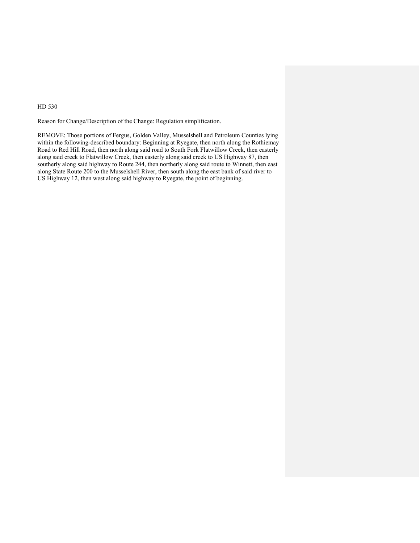Reason for Change/Description of the Change: Regulation simplification.

REMOVE: Those portions of Fergus, Golden Valley, Musselshell and Petroleum Counties lying within the following-described boundary: Beginning at Ryegate, then north along the Rothiemay Road to Red Hill Road, then north along said road to South Fork Flatwillow Creek, then easterly along said creek to Flatwillow Creek, then easterly along said creek to US Highway 87, then southerly along said highway to Route 244, then northerly along said route to Winnett, then east along State Route 200 to the Musselshell River, then south along the east bank of said river to US Highway 12, then west along said highway to Ryegate, the point of beginning.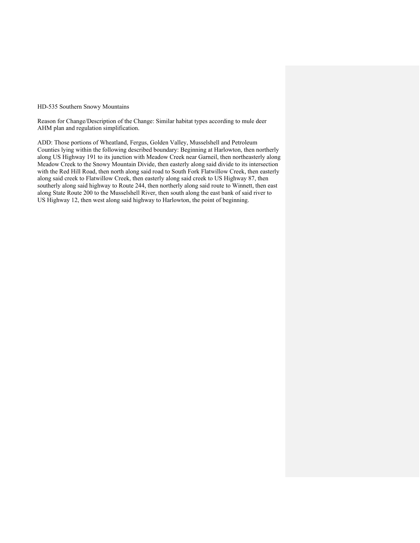#### HD-535 Southern Snowy Mountains

Reason for Change/Description of the Change: Similar habitat types according to mule deer AHM plan and regulation simplification.

ADD: Those portions of Wheatland, Fergus, Golden Valley, Musselshell and Petroleum Counties lying within the following described boundary: Beginning at Harlowton, then northerly along US Highway 191 to its junction with Meadow Creek near Garneil, then northeasterly along Meadow Creek to the Snowy Mountain Divide, then easterly along said divide to its intersection with the Red Hill Road, then north along said road to South Fork Flatwillow Creek, then easterly along said creek to Flatwillow Creek, then easterly along said creek to US Highway 87, then southerly along said highway to Route 244, then northerly along said route to Winnett, then east along State Route 200 to the Musselshell River, then south along the east bank of said river to US Highway 12, then west along said highway to Harlowton, the point of beginning.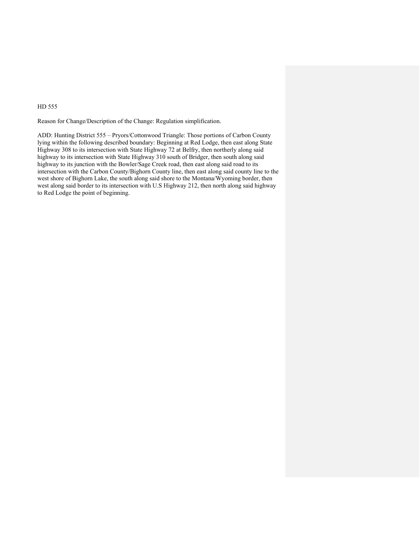Reason for Change/Description of the Change: Regulation simplification.

ADD: Hunting District 555 – Pryors/Cottonwood Triangle: Those portions of Carbon County lying within the following described boundary: Beginning at Red Lodge, then east along State Highway 308 to its intersection with State Highway 72 at Belfry, then northerly along said highway to its intersection with State Highway 310 south of Bridger, then south along said highway to its junction with the Bowler/Sage Creek road, then east along said road to its intersection with the Carbon County/Bighorn County line, then east along said county line to the west shore of Bighorn Lake, the south along said shore to the Montana/Wyoming border, then west along said border to its intersection with U.S Highway 212, then north along said highway to Red Lodge the point of beginning.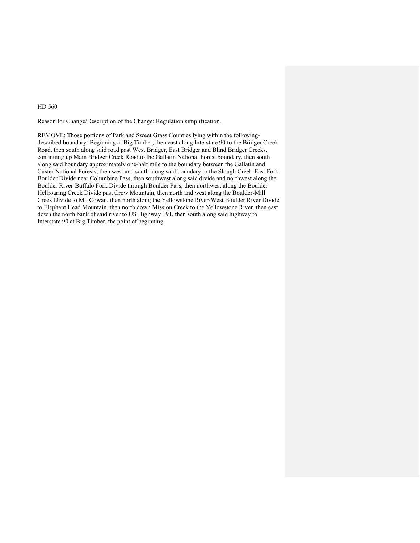Reason for Change/Description of the Change: Regulation simplification.

REMOVE: Those portions of Park and Sweet Grass Counties lying within the followingdescribed boundary: Beginning at Big Timber, then east along Interstate 90 to the Bridger Creek Road, then south along said road past West Bridger, East Bridger and Blind Bridger Creeks, continuing up Main Bridger Creek Road to the Gallatin National Forest boundary, then south along said boundary approximately one-half mile to the boundary between the Gallatin and Custer National Forests, then west and south along said boundary to the Slough Creek-East Fork Boulder Divide near Columbine Pass, then southwest along said divide and northwest along the Boulder River-Buffalo Fork Divide through Boulder Pass, then northwest along the Boulder-Hellroaring Creek Divide past Crow Mountain, then north and west along the Boulder-Mill Creek Divide to Mt. Cowan, then north along the Yellowstone River-West Boulder River Divide to Elephant Head Mountain, then north down Mission Creek to the Yellowstone River, then east down the north bank of said river to US Highway 191, then south along said highway to Interstate 90 at Big Timber, the point of beginning.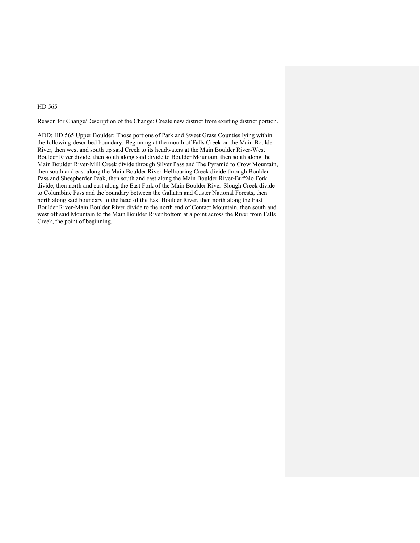Reason for Change/Description of the Change: Create new district from existing district portion.

ADD: HD 565 Upper Boulder: Those portions of Park and Sweet Grass Counties lying within the following-described boundary: Beginning at the mouth of Falls Creek on the Main Boulder River, then west and south up said Creek to its headwaters at the Main Boulder River-West Boulder River divide, then south along said divide to Boulder Mountain, then south along the Main Boulder River-Mill Creek divide through Silver Pass and The Pyramid to Crow Mountain, then south and east along the Main Boulder River-Hellroaring Creek divide through Boulder Pass and Sheepherder Peak, then south and east along the Main Boulder River-Buffalo Fork divide, then north and east along the East Fork of the Main Boulder River-Slough Creek divide to Columbine Pass and the boundary between the Gallatin and Custer National Forests, then north along said boundary to the head of the East Boulder River, then north along the East Boulder River-Main Boulder River divide to the north end of Contact Mountain, then south and west off said Mountain to the Main Boulder River bottom at a point across the River from Falls Creek, the point of beginning.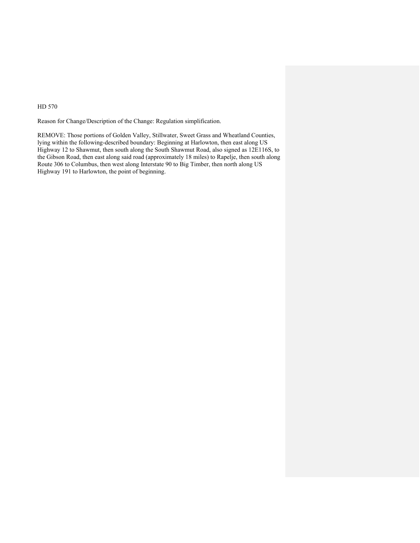Reason for Change/Description of the Change: Regulation simplification.

REMOVE: Those portions of Golden Valley, Stillwater, Sweet Grass and Wheatland Counties, lying within the following-described boundary: Beginning at Harlowton, then east along US Highway 12 to Shawmut, then south along the South Shawmut Road, also signed as 12E116S, to the Gibson Road, then east along said road (approximately 18 miles) to Rapelje, then south along Route 306 to Columbus, then west along Interstate 90 to Big Timber, then north along US Highway 191 to Harlowton, the point of beginning.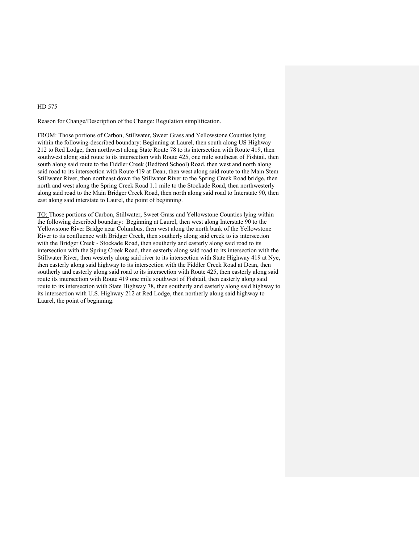Reason for Change/Description of the Change: Regulation simplification.

FROM: Those portions of Carbon, Stillwater, Sweet Grass and Yellowstone Counties lying within the following-described boundary: Beginning at Laurel, then south along US Highway 212 to Red Lodge, then northwest along State Route 78 to its intersection with Route 419, then southwest along said route to its intersection with Route 425, one mile southeast of Fishtail, then south along said route to the Fiddler Creek (Bedford School) Road. then west and north along said road to its intersection with Route 419 at Dean, then west along said route to the Main Stem Stillwater River, then northeast down the Stillwater River to the Spring Creek Road bridge, then north and west along the Spring Creek Road 1.1 mile to the Stockade Road, then northwesterly along said road to the Main Bridger Creek Road, then north along said road to Interstate 90, then east along said interstate to Laurel, the point of beginning.

TO: Those portions of Carbon, Stillwater, Sweet Grass and Yellowstone Counties lying within the following described boundary: Beginning at Laurel, then west along Interstate 90 to the Yellowstone River Bridge near Columbus, then west along the north bank of the Yellowstone River to its confluence with Bridger Creek, then southerly along said creek to its intersection with the Bridger Creek - Stockade Road, then southerly and easterly along said road to its intersection with the Spring Creek Road, then easterly along said road to its intersection with the Stillwater River, then westerly along said river to its intersection with State Highway 419 at Nye, then easterly along said highway to its intersection with the Fiddler Creek Road at Dean, then southerly and easterly along said road to its intersection with Route 425, then easterly along said route its intersection with Route 419 one mile southwest of Fishtail, then easterly along said route to its intersection with State Highway 78, then southerly and easterly along said highway to its intersection with U.S. Highway 212 at Red Lodge, then northerly along said highway to Laurel, the point of beginning.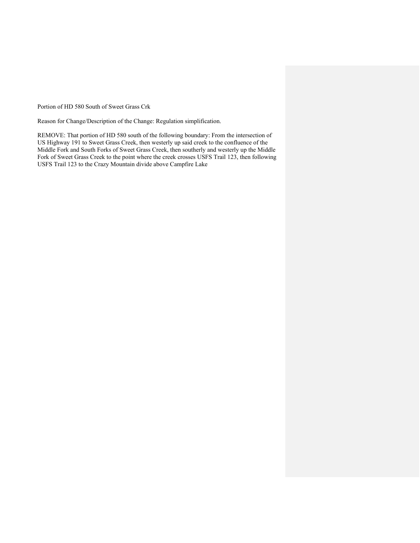Portion of HD 580 South of Sweet Grass Crk

Reason for Change/Description of the Change: Regulation simplification.

REMOVE: That portion of HD 580 south of the following boundary: From the intersection of US Highway 191 to Sweet Grass Creek, then westerly up said creek to the confluence of the Middle Fork and South Forks of Sweet Grass Creek, then southerly and westerly up the Middle Fork of Sweet Grass Creek to the point where the creek crosses USFS Trail 123, then following USFS Trail 123 to the Crazy Mountain divide above Campfire Lake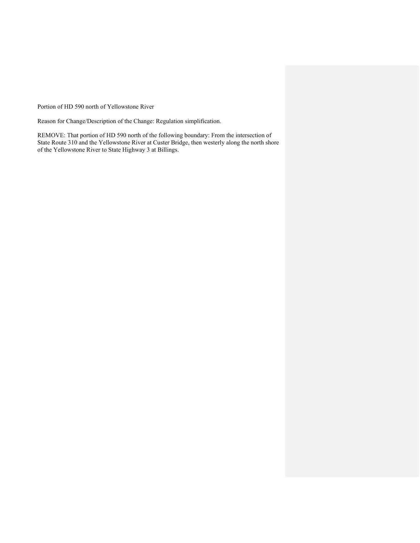Portion of HD 590 north of Yellowstone River

Reason for Change/Description of the Change: Regulation simplification.

REMOVE: That portion of HD 590 north of the following boundary: From the intersection of State Route 310 and the Yellowstone River at Custer Bridge, then westerly along the north shore of the Yellowstone River to State Highway 3 at Billings.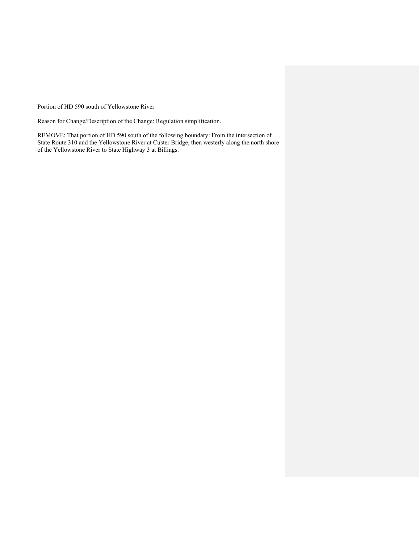Portion of HD 590 south of Yellowstone River

Reason for Change/Description of the Change: Regulation simplification.

REMOVE: That portion of HD 590 south of the following boundary: From the intersection of State Route 310 and the Yellowstone River at Custer Bridge, then westerly along the north shore of the Yellowstone River to State Highway 3 at Billings.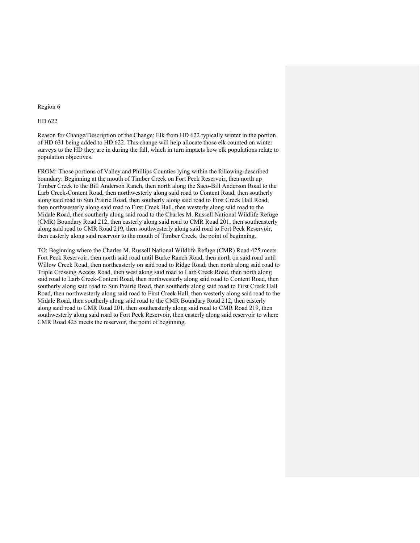#### Region 6

#### HD 622

Reason for Change/Description of the Change: Elk from HD 622 typically winter in the portion of HD 631 being added to HD 622. This change will help allocate those elk counted on winter surveys to the HD they are in during the fall, which in turn impacts how elk populations relate to population objectives.

FROM: Those portions of Valley and Phillips Counties lying within the following-described boundary: Beginning at the mouth of Timber Creek on Fort Peck Reservoir, then north up Timber Creek to the Bill Anderson Ranch, then north along the Saco-Bill Anderson Road to the Larb Creek-Content Road, then northwesterly along said road to Content Road, then southerly along said road to Sun Prairie Road, then southerly along said road to First Creek Hall Road, then northwesterly along said road to First Creek Hall, then westerly along said road to the Midale Road, then southerly along said road to the Charles M. Russell National Wildlife Refuge (CMR) Boundary Road 212, then easterly along said road to CMR Road 201, then southeasterly along said road to CMR Road 219, then southwesterly along said road to Fort Peck Reservoir, then easterly along said reservoir to the mouth of Timber Creek, the point of beginning.

TO: Beginning where the Charles M. Russell National Wildlife Refuge (CMR) Road 425 meets Fort Peck Reservoir, then north said road until Burke Ranch Road, then north on said road until Willow Creek Road, then northeasterly on said road to Ridge Road, then north along said road to Triple Crossing Access Road, then west along said road to Larb Creek Road, then north along said road to Larb Creek-Content Road, then northwesterly along said road to Content Road, then southerly along said road to Sun Prairie Road, then southerly along said road to First Creek Hall Road, then northwesterly along said road to First Creek Hall, then westerly along said road to the Midale Road, then southerly along said road to the CMR Boundary Road 212, then easterly along said road to CMR Road 201, then southeasterly along said road to CMR Road 219, then southwesterly along said road to Fort Peck Reservoir, then easterly along said reservoir to where CMR Road 425 meets the reservoir, the point of beginning.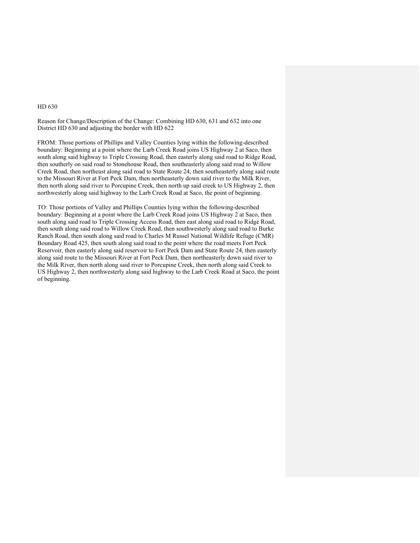Reason for Change/Description of the Change: Combining HD 630, 631 and 632 into one District HD 630 and adjusting the border with HD 622

FROM: Those portions of Phillips and Valley Counties lying within the following-described boundary: Beginning at a point where the Larb Creek Road joins US Highway 2 at Saco, then south along said highway to Triple Crossing Road, then easterly along said road to Ridge Road, then southerly on said road to Stonehouse Road, then southeasterly along said road to Willow Creek Road, then northeast along said road to State Route 24, then southeasterly along said route to the Missouri River at Fort Peck Dam, then northeasterly down said river to the Milk River, then north along said river to Porcupine Creek, then north up said creek to US Highway 2, then northwesterly along said highway to the Larb Creek Road at Saco, the point of beginning.

TO: Those portions of Valley and Phillips Counties lying within the following-described boundary: Beginning at a point where the Larb Creek Road joins US Highway 2 at Saco, then south along said road to Triple Crossing Access Road, then east along said road to Ridge Road, then south along said road to Willow Creek Road, then southwesterly along said road to Burke Ranch Road, then south along said road to Charles M Russel National Wildlife Refuge (CMR) Boundary Road 425, then south along said road to the point where the road meets Fort Peck Reservoir, then easterly along said reservoir to Fort Peck Dam and State Route 24, then easterly along said route to the Missouri River at Fort Peck Dam, then northeasterly down said river to the Milk River, then north along said river to Porcupine Creek, then north along said Creek to US Highway 2, then northwesterly along said highway to the Larb Creek Road at Saco, the point of beginning.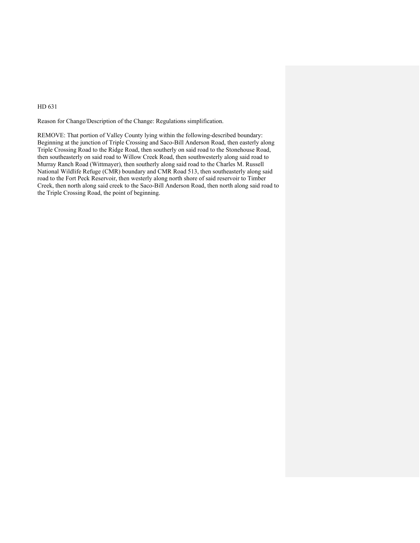Reason for Change/Description of the Change: Regulations simplification.

REMOVE: That portion of Valley County lying within the following-described boundary: Beginning at the junction of Triple Crossing and Saco-Bill Anderson Road, then easterly along Triple Crossing Road to the Ridge Road, then southerly on said road to the Stonehouse Road, then southeasterly on said road to Willow Creek Road, then southwesterly along said road to Murray Ranch Road (Wittmayer), then southerly along said road to the Charles M. Russell National Wildlife Refuge (CMR) boundary and CMR Road 513, then southeasterly along said road to the Fort Peck Reservoir, then westerly along north shore of said reservoir to Timber Creek, then north along said creek to the Saco-Bill Anderson Road, then north along said road to the Triple Crossing Road, the point of beginning.